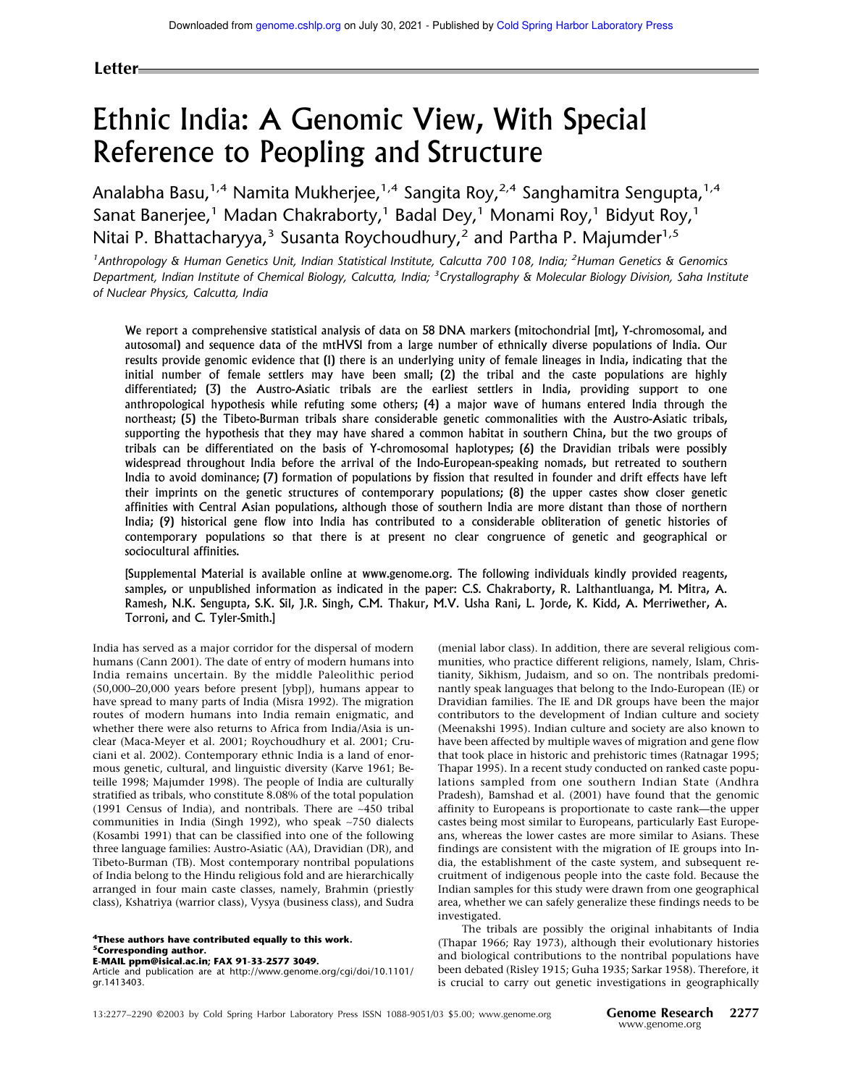**Letter**

# Ethnic India: A Genomic View, With Special Reference to Peopling and Structure

Analabha Basu,<sup>1,4</sup> Namita Mukherjee,<sup>1,4</sup> Sangita Roy,<sup>2,4</sup> Sanghamitra Sengupta,<sup>1,4</sup> Sanat Banerjee,<sup>1</sup> Madan Chakraborty,<sup>1</sup> Badal Dey,<sup>1</sup> Monami Roy,<sup>1</sup> Bidyut Roy,<sup>1</sup> Nitai P. Bhattacharyya,<sup>3</sup> Susanta Roychoudhury,<sup>2</sup> and Partha P. Majumder<sup>1,5</sup>

*1 Anthropology & Human Genetics Unit, Indian Statistical Institute, Calcutta 700 108, India; <sup>2</sup>Human Genetics & Genomics Department, Indian Institute of Chemical Biology, Calcutta, India; <sup>3</sup> Crystallography & Molecular Biology Division, Saha Institute of Nuclear Physics, Calcutta, India*

We report a comprehensive statistical analysis of data on 58 DNA markers (mitochondrial [mt], Y-chromosomal, and autosomal) and sequence data of the mtHVS1 from a large number of ethnically diverse populations of India. Our results provide genomic evidence that (1) there is an underlying unity of female lineages in India, indicating that the initial number of female settlers may have been small; (2) the tribal and the caste populations are highly differentiated; (3) the Austro-Asiatic tribals are the earliest settlers in India, providing support to one anthropological hypothesis while refuting some others; (4) a major wave of humans entered India through the northeast; (5) the Tibeto-Burman tribals share considerable genetic commonalities with the Austro-Asiatic tribals, supporting the hypothesis that they may have shared a common habitat in southern China, but the two groups of tribals can be differentiated on the basis of Y-chromosomal haplotypes; (6) the Dravidian tribals were possibly widespread throughout India before the arrival of the Indo-European-speaking nomads, but retreated to southern India to avoid dominance; (7) formation of populations by fission that resulted in founder and drift effects have left their imprints on the genetic structures of contemporary populations; (8) the upper castes show closer genetic affinities with Central Asian populations, although those of southern India are more distant than those of northern India; (9) historical gene flow into India has contributed to a considerable obliteration of genetic histories of contemporary populations so that there is at present no clear congruence of genetic and geographical or sociocultural affinities.

[Supplemental Material is available online at www.genome.org. The following individuals kindly provided reagents, samples, or unpublished information as indicated in the paper: C.S. Chakraborty, R. Lalthantluanga, M. Mitra, A. Ramesh, N.K. Sengupta, S.K. Sil, J.R. Singh, C.M. Thakur, M.V. Usha Rani, L. Jorde, K. Kidd, A. Merriwether, A. Torroni, and C. Tyler-Smith.]

India has served as a major corridor for the dispersal of modern humans (Cann 2001). The date of entry of modern humans into India remains uncertain. By the middle Paleolithic period (50,000–20,000 years before present [ybp]), humans appear to have spread to many parts of India (Misra 1992). The migration routes of modern humans into India remain enigmatic, and whether there were also returns to Africa from India/Asia is unclear (Maca-Meyer et al. 2001; Roychoudhury et al. 2001; Cruciani et al. 2002). Contemporary ethnic India is a land of enormous genetic, cultural, and linguistic diversity (Karve 1961; Beteille 1998; Majumder 1998). The people of India are culturally stratified as tribals, who constitute 8.08% of the total population (1991 Census of India), and nontribals. There are ~450 tribal communities in India (Singh 1992), who speak ∼750 dialects (Kosambi 1991) that can be classified into one of the following three language families: Austro-Asiatic (AA), Dravidian (DR), and Tibeto-Burman (TB). Most contemporary nontribal populations of India belong to the Hindu religious fold and are hierarchically arranged in four main caste classes, namely, Brahmin (priestly class), Kshatriya (warrior class), Vysya (business class), and Sudra

**<sup>4</sup>These authors have contributed equally to this work. <sup>5</sup>Corresponding author. E-MAILppm@isical.ac.in; FAX 91-33-2577 3049.**

Article and publication are at http://www.genome.org/cgi/doi/10.1101/ gr.1413403.

(menial labor class). In addition, there are several religious communities, who practice different religions, namely, Islam, Christianity, Sikhism, Judaism, and so on. The nontribals predominantly speak languages that belong to the Indo-European (IE) or Dravidian families. The IE and DR groups have been the major contributors to the development of Indian culture and society (Meenakshi 1995). Indian culture and society are also known to have been affected by multiple waves of migration and gene flow that took place in historic and prehistoric times (Ratnagar 1995; Thapar 1995). In a recent study conducted on ranked caste populations sampled from one southern Indian State (Andhra Pradesh), Bamshad et al. (2001) have found that the genomic affinity to Europeans is proportionate to caste rank—the upper castes being most similar to Europeans, particularly East Europeans, whereas the lower castes are more similar to Asians. These findings are consistent with the migration of IE groups into India, the establishment of the caste system, and subsequent recruitment of indigenous people into the caste fold. Because the Indian samples for this study were drawn from one geographical area, whether we can safely generalize these findings needs to be investigated.

The tribals are possibly the original inhabitants of India (Thapar 1966; Ray 1973), although their evolutionary histories and biological contributions to the nontribal populations have been debated (Risley 1915; Guha 1935; Sarkar 1958). Therefore, it is crucial to carry out genetic investigations in geographically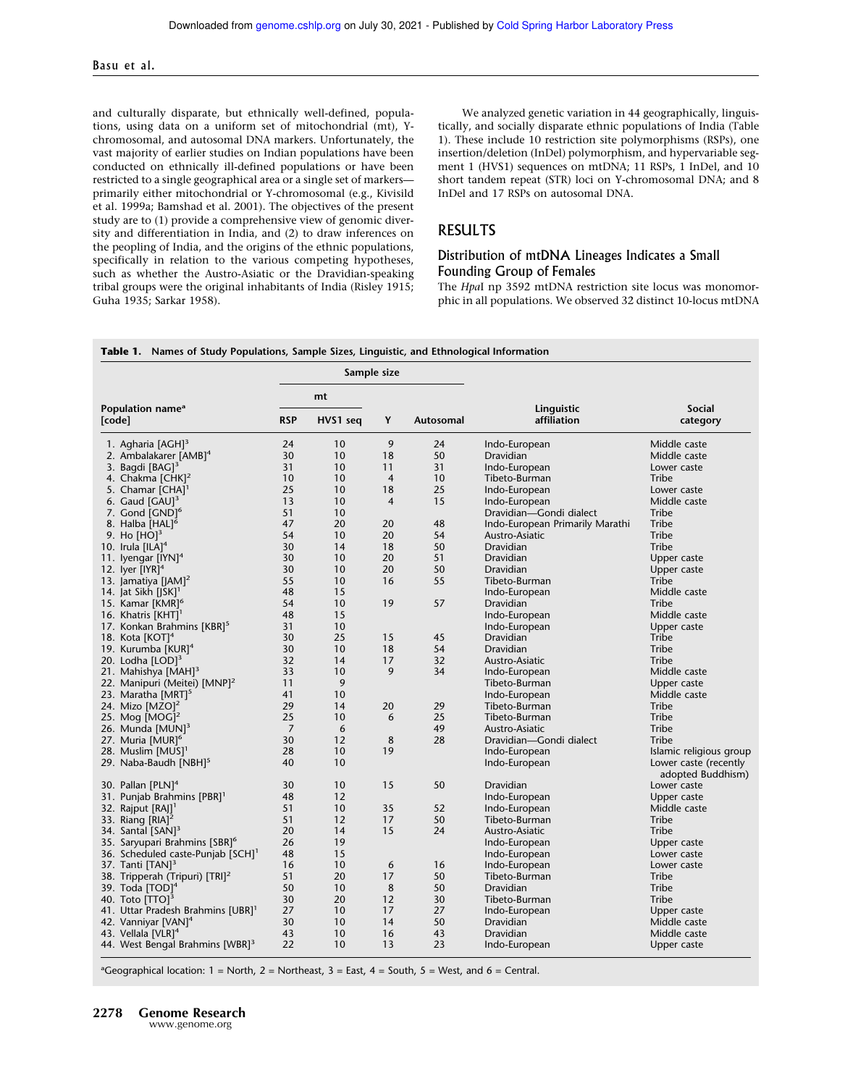and culturally disparate, but ethnically well-defined, populations, using data on a uniform set of mitochondrial (mt), Ychromosomal, and autosomal DNA markers. Unfortunately, the vast majority of earlier studies on Indian populations have been conducted on ethnically ill-defined populations or have been restricted to a single geographical area or a single set of markers primarily either mitochondrial or Y-chromosomal (e.g., Kivisild et al. 1999a; Bamshad et al. 2001). The objectives of the present study are to (1) provide a comprehensive view of genomic diversity and differentiation in India, and (2) to draw inferences on the peopling of India, and the origins of the ethnic populations, specifically in relation to the various competing hypotheses, such as whether the Austro-Asiatic or the Dravidian-speaking tribal groups were the original inhabitants of India (Risley 1915; Guha 1935; Sarkar 1958).

We analyzed genetic variation in 44 geographically, linguistically, and socially disparate ethnic populations of India (Table 1). These include 10 restriction site polymorphisms (RSPs), one insertion/deletion (InDel) polymorphism, and hypervariable segment 1 (HVS1) sequences on mtDNA; 11 RSPs, 1 InDel, and 10 short tandem repeat (STR) loci on Y-chromosomal DNA; and 8 InDel and 17 RSPs on autosomal DNA.

# RESULTS

#### Distribution of mtDNA Lineages Indicates a Small Founding Group of Females

The *Hpa*I np 3592 mtDNA restriction site locus was monomorphic in all populations. We observed 32 distinct 10-locus mtDNA

#### **Table 1. Names of Study Populations, Sample Sizes, Linguistic, and Ethnological Information**

|                                                                              |                |          | Sample size    |           |                                 |                         |
|------------------------------------------------------------------------------|----------------|----------|----------------|-----------|---------------------------------|-------------------------|
| Population name <sup>a</sup>                                                 |                | mt       |                |           | Linguistic                      | Social                  |
| [code]                                                                       | <b>RSP</b>     | HVS1 seq | Υ              | Autosomal | affiliation                     | category                |
| 1. Agharia $[AGH]$ <sup>3</sup>                                              | 24             | 10       | 9              | 24        | Indo-European                   | Middle caste            |
| 2. Ambalakarer [AMB] <sup>4</sup>                                            | 30             | 10       | 18             | 50        | Dravidian                       | Middle caste            |
| 3. Bagdi [BAG] <sup>3</sup>                                                  | 31             | 10       | 11             | 31        | Indo-European                   | Lower caste             |
| 4. Chakma [CHK] <sup>2</sup>                                                 | 10             | 10       | $\overline{4}$ | 10        | Tibeto-Burman                   | Tribe                   |
| 5. Chamar [CHA] <sup>1</sup>                                                 | 25             | 10       | 18             | 25        | Indo-European                   | Lower caste             |
| 6. Gaud [GAU] <sup>3</sup>                                                   | 13             | 10       | $\overline{4}$ | 15        | Indo-European                   | Middle caste            |
| 7. Gond [GND] <sup>6</sup>                                                   | 51             | 10       |                |           | Dravidian-Gondi dialect         | Tribe                   |
| 8. Halba [HAL] <sup>6</sup>                                                  | 47             | 20       | 20             | 48        | Indo-European Primarily Marathi | Tribe                   |
| 9. Ho $[HO]^3$                                                               | 54             | 10       | 20             | 54        | Austro-Asiatic                  | Tribe                   |
| 10. Irula $[ILA]$ <sup>4</sup>                                               | 30             | 14       | 18             | 50        | Dravidian                       | Tribe                   |
| 11. Iyengar $[IYN]^4$                                                        | 30             | 10       | 20             | 51        | Dravidian                       | Upper caste             |
| 12. Iyer $[IYR]$ <sup>4</sup>                                                | 30             | 10       | 20             | 50        | Dravidian                       | Upper caste             |
| 13. Jamatiya [JAM] <sup>2</sup>                                              | 55             | 10       | 16             | 55        | Tibeto-Burman                   | Tribe                   |
| 14. Jat Sikh $[ SK]^1$                                                       | 48             | 15       |                |           | Indo-European                   | Middle caste            |
| 15. Kamar [KMR] <sup>6</sup>                                                 | 54             | 10       | 19             | 57        | Dravidian                       | Tribe                   |
| 16. Khatris [KHT] <sup>1</sup>                                               | 48             | 15       |                |           | Indo-European                   | Middle caste            |
| 17. Konkan Brahmins [KBR] <sup>5</sup>                                       | 31             | 10       |                |           | Indo-European                   | Upper caste             |
| 18. Kota [KOT] <sup>4</sup>                                                  | 30             | 25       | 15             | 45        | Dravidian                       | Tribe                   |
| 19. Kurumba [KUR] <sup>4</sup>                                               | 30             | 10       | 18             | 54        | Dravidian                       | Tribe                   |
| 20. Lodha $[LOD]$ <sup>3</sup>                                               | 32             | 14       | 17             | 32        | Austro-Asiatic                  | Tribe                   |
| 21. Mahishya [MAH] <sup>3</sup>                                              | 33             | 10       | 9              | 34        | Indo-European                   | Middle caste            |
| 22. Manipuri (Meitei) [MNP] <sup>2</sup>                                     | 11             | 9        |                |           | Tibeto-Burman                   | Upper caste             |
| 23. Maratha $[MRT]^5$                                                        | 41             | 10       |                |           | Indo-European                   | Middle caste            |
| 24. Mizo $[MZO]^2$                                                           | 29             | 14       | 20             | 29        | Tibeto-Burman                   | Tribe                   |
| 25. Mog $[MOG]^2$                                                            | 25             | 10       | 6              | 25        | Tibeto-Burman                   | Tribe                   |
| 26. Munda [MUN] <sup>3</sup>                                                 | $\overline{7}$ | 6        |                | 49        | Austro-Asiatic                  | Tribe                   |
| 27. Muria [MUR] <sup>6</sup>                                                 | 30             | 12       | 8              | 28        | Dravidian-Gondi dialect         | Tribe                   |
| 28. Muslim [MUS] <sup>1</sup>                                                | 28             | 10       | 19             |           | Indo-European                   | Islamic religious group |
| 29. Naba-Baudh [NBH] <sup>5</sup>                                            | 40             | 10       |                |           | Indo-European                   | Lower caste (recently   |
|                                                                              |                |          |                |           |                                 | adopted Buddhism)       |
| 30. Pallan [PLN] <sup>4</sup>                                                | 30             | 10       | 15             | 50        | Dravidian                       | Lower caste             |
| 31. Punjab Brahmins [PBR] <sup>1</sup>                                       | 48             | 12       |                |           | Indo-European                   | Upper caste             |
| 32. Rajput $[RA]$ <sup>1</sup>                                               | 51             | 10       | 35             | 52        | Indo-European                   | Middle caste            |
| 33. Riang $[RIA]^2$                                                          | 51             | 12       | 17             | 50        | Tibeto-Burman                   | Tribe                   |
| 34. Santal [SAN] <sup>3</sup>                                                | 20             | 14       | 15             | 24        | Austro-Asiatic                  | Tribe                   |
| 35. Saryupari Brahmins [SBR] <sup>6</sup>                                    | 26             | 19<br>15 |                |           | Indo-European                   | Upper caste             |
| 36. Scheduled caste-Punjab [SCH] <sup>1</sup>                                | 48             |          |                |           | Indo-European                   | Lower caste             |
| 37. Tanti $[TAN]$ <sup>3</sup><br>38. Tripperah (Tripuri) [TRI] <sup>2</sup> | 16<br>51       | 10<br>20 | 6<br>17        | 16<br>50  | Indo-European                   | Lower caste<br>Tribe    |
| 39. Toda [TOD] <sup>4</sup>                                                  | 50             | 10       | 8              | 50        | Tibeto-Burman<br>Dravidian      | Tribe                   |
|                                                                              |                |          |                |           |                                 |                         |
| 40. Toto $[TTO]$ <sup>3</sup>                                                | 30<br>27       | 20<br>10 | 12<br>17       | 30<br>27  | Tibeto-Burman                   | Tribe                   |
| 41. Uttar Pradesh Brahmins [UBR] <sup>1</sup>                                | 30             | 10       | 14             | 50        | Indo-European<br>Dravidian      | Upper caste             |
| 42. Vanniyar [VAN] <sup>4</sup>                                              | 43             |          |                | 43        |                                 | Middle caste            |
| 43. Vellala [VLR] <sup>4</sup>                                               | 22             | 10<br>10 | 16<br>13       | 23        | Dravidian                       | Middle caste            |
| 44. West Bengal Brahmins [WBR] <sup>3</sup>                                  |                |          |                |           | Indo-European                   | Upper caste             |

<sup>a</sup>Geographical location:  $1 = \text{North}, 2 = \text{Northeast}, 3 = \text{East}, 4 = \text{South}, 5 = \text{West},$  and  $6 = \text{Central}.$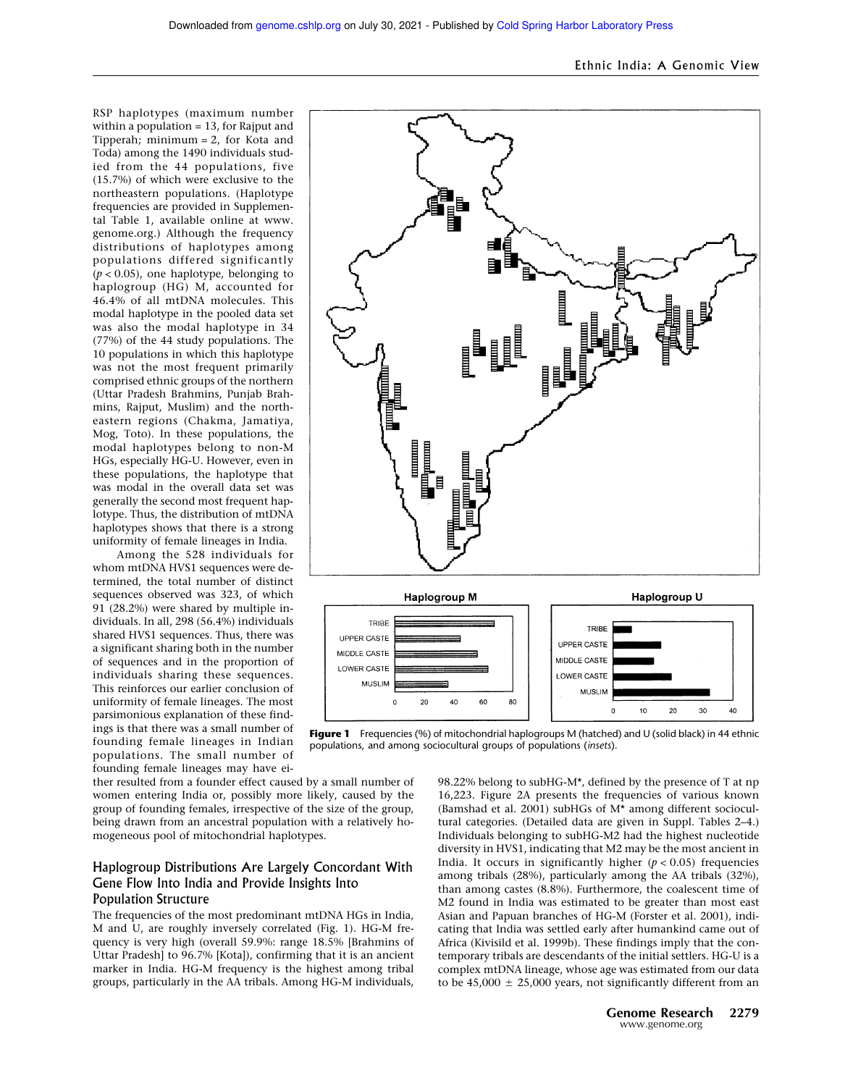RSP haplotypes (maximum number within a population  $= 13$ , for Rajput and Tipperah; minimum  $= 2$ , for Kota and Toda) among the 1490 individuals studied from the 44 populations, five (15.7%) of which were exclusive to the northeastern populations. (Haplotype frequencies are provided in Supplemental Table 1, available online at www. genome.org.) Although the frequency distributions of haplotypes among populations differed significantly  $(p < 0.05)$ , one haplotype, belonging to haplogroup (HG) M, accounted for 46.4% of all mtDNA molecules. This modal haplotype in the pooled data set was also the modal haplotype in 34 (77%) of the 44 study populations. The 10 populations in which this haplotype was not the most frequent primarily comprised ethnic groups of the northern (Uttar Pradesh Brahmins, Punjab Brahmins, Rajput, Muslim) and the northeastern regions (Chakma, Jamatiya, Mog, Toto). In these populations, the modal haplotypes belong to non-M HGs, especially HG-U. However, even in these populations, the haplotype that was modal in the overall data set was generally the second most frequent haplotype. Thus, the distribution of mtDNA haplotypes shows that there is a strong uniformity of female lineages in India.

Among the 528 individuals for whom mtDNA HVS1 sequences were determined, the total number of distinct sequences observed was 323, of which 91 (28.2%) were shared by multiple individuals. In all,298 (56.4%) individuals shared HVS1 sequences. Thus, there was a significant sharing both in the number of sequences and in the proportion of individuals sharing these sequences. This reinforces our earlier conclusion of uniformity of female lineages. The most parsimonious explanation of these findings is that there was a small number of founding female lineages in Indian populations. The small number of founding female lineages may have ei-

ther resulted from a founder effect caused by a small number of women entering India or, possibly more likely, caused by the group of founding females, irrespective of the size of the group, being drawn from an ancestral population with a relatively homogeneous pool of mitochondrial haplotypes.

# Haplogroup Distributions Are Largely Concordant With Gene Flow Into India and Provide Insights Into Population Structure

The frequencies of the most predominant mtDNA HGs in India, M and U, are roughly inversely correlated (Fig. 1). HG-M frequency is very high (overall 59.9%: range 18.5% [Brahmins of Uttar Pradesh] to 96.7% [Kota]), confirming that it is an ancient marker in India. HG-M frequency is the highest among tribal groups, particularly in the AA tribals. Among HG-M individuals,





**Figure 1** Frequencies (%) of mitochondrial haplogroups M (hatched) and U (solid black) in 44 ethnic populations, and among sociocultural groups of populations (*insets*).

98.22% belong to subHG-M\*, defined by the presence of T at np 16,223. Figure 2A presents the frequencies of various known (Bamshad et al. 2001) subHGs of M\* among different sociocultural categories. (Detailed data are given in Suppl. Tables 2–4.) Individuals belonging to subHG-M2 had the highest nucleotide diversity in HVS1, indicating that M2 may be the most ancient in India. It occurs in significantly higher  $(p < 0.05)$  frequencies among tribals (28%), particularly among the AA tribals (32%), than among castes  $(8.8\%)$ . Furthermore, the coalescent time of M2 found in India was estimated to be greater than most east Asian and Papuan branches of HG-M (Forster et al. 2001), indicating that India was settled early after humankind came out of Africa (Kivisild et al. 1999b). These findings imply that the contemporary tribals are descendants of the initial settlers. HG-U is a complex mtDNA lineage, whose age was estimated from our data to be  $45,000 \pm 25,000$  years, not significantly different from an

> **Genome Research 2279** www.genome.org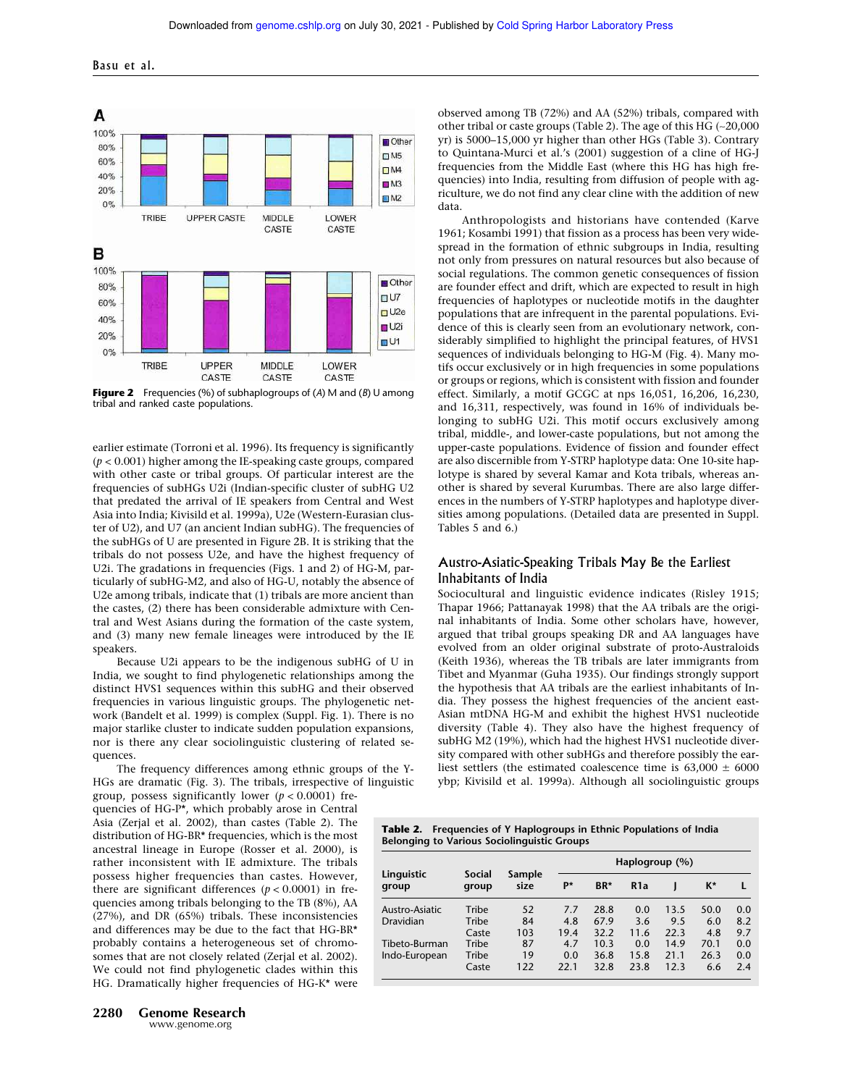

**Figure 2** Frequencies (%) of subhaplogroups of (*A*) M and (*B*) U among tribal and ranked caste populations.

earlier estimate (Torroni et al. 1996). Its frequency is significantly  $(p < 0.001)$  higher among the IE-speaking caste groups, compared with other caste or tribal groups. Of particular interest are the frequencies of subHGs U2i (Indian-specific cluster of subHG U2 that predated the arrival of IE speakers from Central and West Asia into India; Kivisild et al. 1999a), U2e (Western-Eurasian cluster of U2), and U7 (an ancient Indian subHG). The frequencies of the subHGs of U are presented in Figure 2B. It is striking that the tribals do not possess U2e, and have the highest frequency of U2i. The gradations in frequencies (Figs. 1 and 2) of HG-M, particularly of subHG-M2, and also of HG-U, notably the absence of U2e among tribals, indicate that (1) tribals are more ancient than the castes,(2) there has been considerable admixture with Central and West Asians during the formation of the caste system, and (3) many new female lineages were introduced by the IE speakers.

Because U2i appears to be the indigenous subHG of U in India, we sought to find phylogenetic relationships among the distinct HVS1 sequences within this subHG and their observed frequencies in various linguistic groups. The phylogenetic network (Bandelt et al. 1999) is complex (Suppl. Fig. 1). There is no major starlike cluster to indicate sudden population expansions, nor is there any clear sociolinguistic clustering of related sequences.

The frequency differences among ethnic groups of the Y-HGs are dramatic (Fig. 3). The tribals, irrespective of linguistic

group, possess significantly lower  $(p < 0.0001)$  frequencies of HG-P\*, which probably arose in Central Asia (Zerjal et al. 2002), than castes (Table 2). The distribution of HG-BR\* frequencies, which is the most ancestral lineage in Europe (Rosser et al. 2000), is rather inconsistent with IE admixture. The tribals possess higher frequencies than castes. However, there are significant differences  $(p < 0.0001)$  in frequencies among tribals belonging to the TB (8%), AA  $(27%)$ , and DR  $(65%)$  tribals. These inconsistencies and differences may be due to the fact that HG-BR\* probably contains a heterogeneous set of chromosomes that are not closely related (Zerjal et al. 2002). We could not find phylogenetic clades within this HG. Dramatically higher frequencies of HG-K\* were

**2280 Genome Research** www.genome.org

observed among TB (72%) and AA (52%) tribals, compared with other tribal or caste groups (Table 2). The age of this HG (∼20,000 yr) is 5000–15,000 yr higher than other HGs (Table 3). Contrary to Quintana-Murci et al.'s (2001) suggestion of a cline of HG-J frequencies from the Middle East (where this HG has high frequencies) into India, resulting from diffusion of people with agriculture, we do not find any clear cline with the addition of new data.

Anthropologists and historians have contended (Karve 1961; Kosambi 1991) that fission as a process has been very widespread in the formation of ethnic subgroups in India, resulting not only from pressures on natural resources but also because of social regulations. The common genetic consequences of fission are founder effect and drift, which are expected to result in high frequencies of haplotypes or nucleotide motifs in the daughter populations that are infrequent in the parental populations. Evidence of this is clearly seen from an evolutionary network, considerably simplified to highlight the principal features, of HVS1 sequences of individuals belonging to HG-M (Fig. 4). Many motifs occur exclusively or in high frequencies in some populations or groups or regions, which is consistent with fission and founder effect. Similarly, a motif GCGC at nps 16,051, 16,206, 16,230, and  $16,311$ , respectively, was found in  $16\%$  of individuals belonging to subHG U2i. This motif occurs exclusively among tribal, middle-, and lower-caste populations, but not among the upper-caste populations. Evidence of fission and founder effect are also discernible from Y-STRP haplotype data: One 10-site haplotype is shared by several Kamar and Kota tribals, whereas another is shared by several Kurumbas. There are also large differences in the numbers of Y-STRP haplotypes and haplotype diversities among populations. (Detailed data are presented in Suppl. Tables 5 and 6.)

#### Austro-Asiatic-Speaking Tribals May Be the Earliest Inhabitants of India

Sociocultural and linguistic evidence indicates (Risley 1915; Thapar 1966; Pattanayak 1998) that the AA tribals are the original inhabitants of India. Some other scholars have, however, argued that tribal groups speaking DR and AA languages have evolved from an older original substrate of proto-Australoids (Keith 1936), whereas the TB tribals are later immigrants from Tibet and Myanmar (Guha 1935). Our findings strongly support the hypothesis that AA tribals are the earliest inhabitants of India. They possess the highest frequencies of the ancient east-Asian mtDNA HG-M and exhibit the highest HVS1 nucleotide diversity (Table 4). They also have the highest frequency of subHG M2 (19%), which had the highest HVS1 nucleotide diversity compared with other subHGs and therefore possibly the earliest settlers (the estimated coalescence time is  $63,000 \pm 6000$ ybp; Kivisild et al. 1999a). Although all sociolinguistic groups

**Table 2. Frequencies of Y Haplogroups in Ethnic Populations of India Belonging to Various Sociolinguistic Groups**

|                     |                 |                |      |      | Haplogroup (%) |      |      |     |
|---------------------|-----------------|----------------|------|------|----------------|------|------|-----|
| Linguistic<br>group | Social<br>group | Sample<br>size | Þ*   | BR*  | R1a            |      | K*   |     |
| Austro-Asiatic      | Tribe           | 52             | 7.7  | 28.8 | 0.0            | 13.5 | 50.0 | 0.0 |
| Dravidian           | Tribe           | 84             | 4.8  | 67.9 | 3.6            | 9.5  | 6.0  | 8.2 |
|                     | Caste           | 103            | 19.4 | 32.2 | 11.6           | 22.3 | 4.8  | 9.7 |
| Tibeto-Burman       | Tribe           | 87             | 4.7  | 10.3 | 0.0            | 14.9 | 70.1 | 0.0 |
| Indo-European       | Tribe           | 19             | 0.0  | 36.8 | 15.8           | 21.1 | 26.3 | 0.0 |
|                     | Caste           | 122            | 22.1 | 32.8 | 23.8           | 12.3 | 6.6  | 2.4 |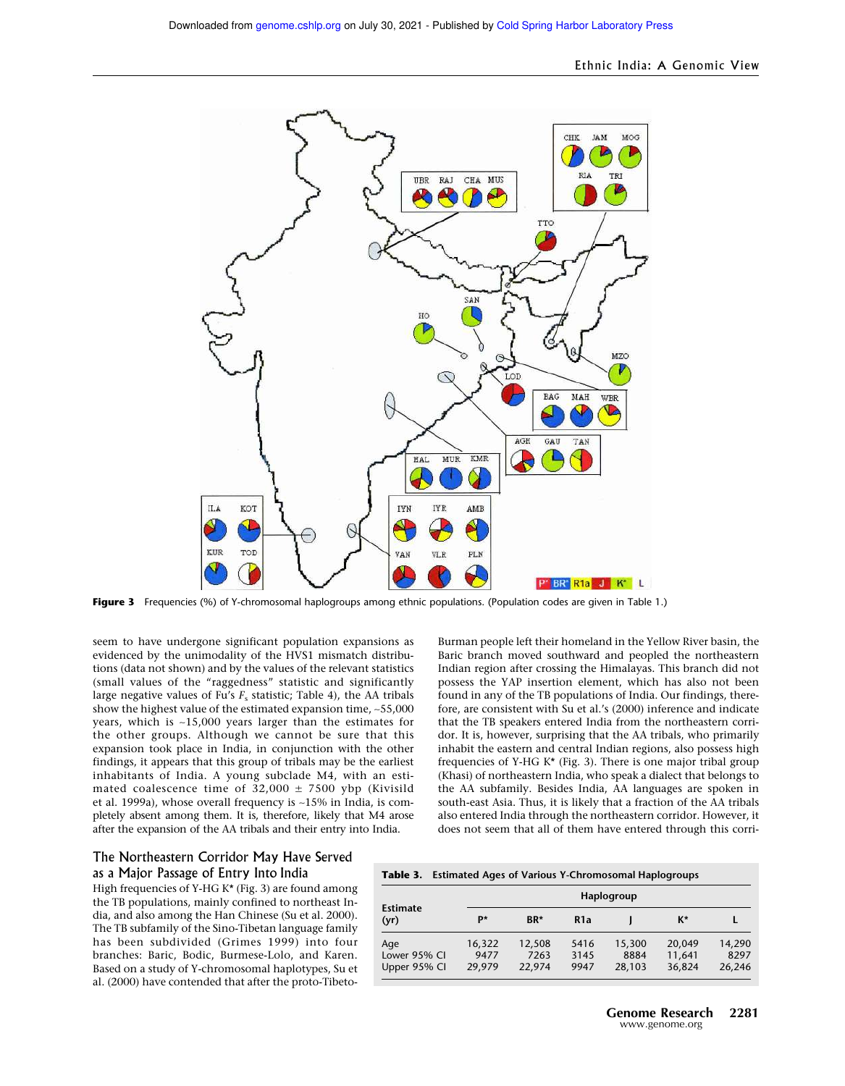

**Figure 3** Frequencies (%) of Y-chromosomal haplogroups among ethnic populations. (Population codes are given in Table 1.)

seem to have undergone significant population expansions as evidenced by the unimodality of the HVS1 mismatch distributions (data not shown) and by the values of the relevant statistics (small values of the "raggedness" statistic and significantly large negative values of Fu's  $F_s$  statistic; Table 4), the AA tribals show the highest value of the estimated expansion time, ∼55,000 years, which is ~15,000 years larger than the estimates for the other groups. Although we cannot be sure that this expansion took place in India, in conjunction with the other findings, it appears that this group of tribals may be the earliest inhabitants of India. A young subclade M4, with an estimated coalescence time of  $32,000 \pm 7500$  ybp (Kivisild et al. 1999a), whose overall frequency is ~15% in India, is completely absent among them. It is, therefore, likely that M4 arose after the expansion of the AA tribals and their entry into India.

Burman people left their homeland in the Yellow River basin, the Baric branch moved southward and peopled the northeastern Indian region after crossing the Himalayas. This branch did not possess the YAP insertion element, which has also not been found in any of the TB populations of India. Our findings, therefore, are consistent with Su et al.'s (2000) inference and indicate that the TB speakers entered India from the northeastern corridor. It is, however, surprising that the AA tribals, who primarily inhabit the eastern and central Indian regions, also possess high frequencies of Y-HG K\* (Fig. 3). There is one major tribal group (Khasi) of northeastern India, who speak a dialect that belongs to the AA subfamily. Besides India, AA languages are spoken in south-east Asia. Thus, it is likely that a fraction of the AA tribals also entered India through the northeastern corridor. However, it does not seem that all of them have entered through this corri-

# The Northeastern Corridor May Have Served as a Major Passage of Entry Into India

High frequencies of Y-HG K\* (Fig. 3) are found among the TB populations, mainly confined to northeast India, and also among the Han Chinese (Su et al. 2000). The TB subfamily of the Sino-Tibetan language family has been subdivided (Grimes 1999) into four branches: Baric, Bodic, Burmese-Lolo, and Karen. Based on a study of Y-chromosomal haplotypes, Su et al. (2000) have contended that after the proto-Tibeto-

| <b>Table 3.</b> Estimated Ages of Various Y-Chromosomal Haplogroups |                          |                          |                      |                          |                            |                          |
|---------------------------------------------------------------------|--------------------------|--------------------------|----------------------|--------------------------|----------------------------|--------------------------|
|                                                                     |                          |                          |                      | <b>Haplogroup</b>        |                            |                          |
| <b>Estimate</b><br>(yr)                                             | Þ*                       | BR*                      | R <sub>1</sub> a     |                          | K*                         |                          |
| Age<br>Lower 95% CI<br>Upper 95% CI                                 | 16,322<br>9477<br>29.979 | 12,508<br>7263<br>22,974 | 5416<br>3145<br>9947 | 15,300<br>8884<br>28,103 | 20,049<br>11,641<br>36,824 | 14,290<br>8297<br>26,246 |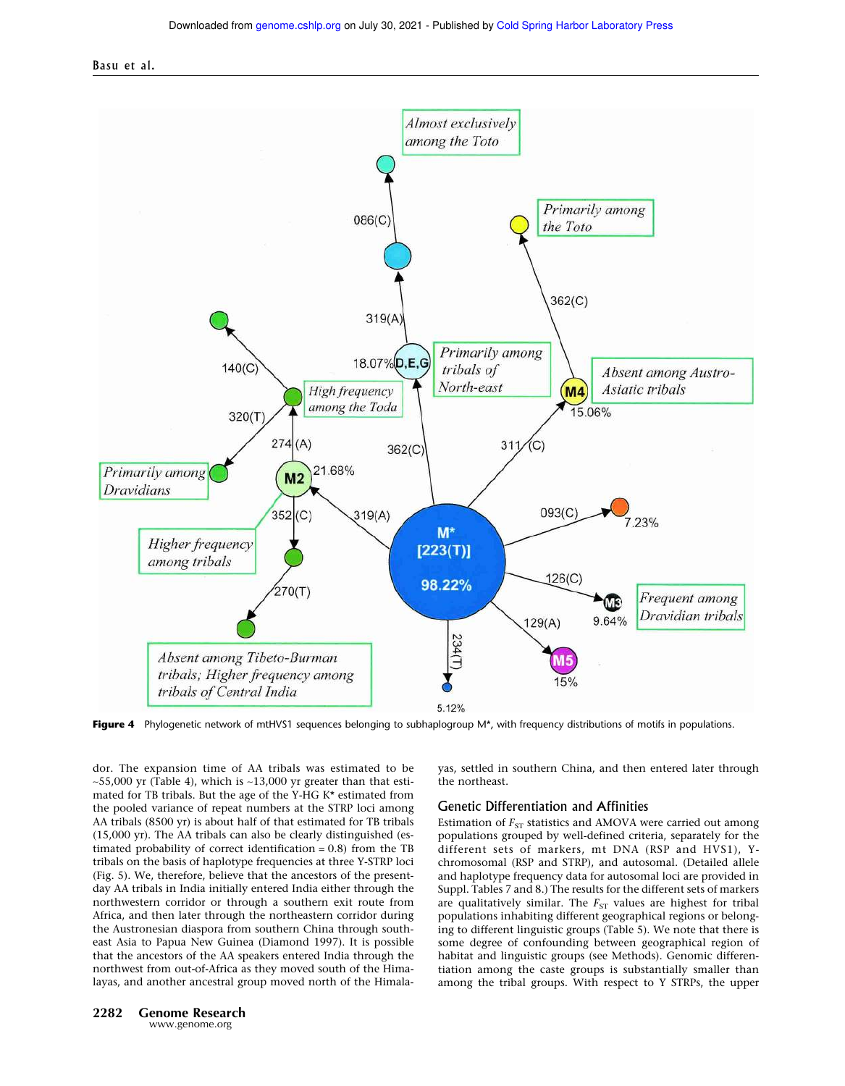

Figure 4 Phylogenetic network of mtHVS1 sequences belonging to subhaplogroup M\*, with frequency distributions of motifs in populations.

dor. The expansion time of AA tribals was estimated to be ∼55,000 yr (Table 4), which is ∼13,000 yr greater than that estimated for TB tribals. But the age of the Y-HG K\* estimated from the pooled variance of repeat numbers at the STRP loci among AA tribals (8500 yr) is about half of that estimated for TB tribals (15,000 yr). The AA tribals can also be clearly distinguished (estimated probability of correct identification  $= 0.8$ ) from the TB tribals on the basis of haplotype frequencies at three Y-STRP loci (Fig. 5). We, therefore, believe that the ancestors of the presentday AA tribals in India initially entered India either through the northwestern corridor or through a southern exit route from Africa, and then later through the northeastern corridor during the Austronesian diaspora from southern China through southeast Asia to Papua New Guinea (Diamond 1997). It is possible that the ancestors of the AA speakers entered India through the northwest from out-of-Africa as they moved south of the Himalayas, and another ancestral group moved north of the Himalayas, settled in southern China, and then entered later through the northeast.

#### Genetic Differentiation and Affinities

Estimation of  $F_{ST}$  statistics and AMOVA were carried out among populations grouped by well-defined criteria, separately for the different sets of markers, mt DNA (RSP and HVS1), Ychromosomal (RSP and STRP), and autosomal. (Detailed allele and haplotype frequency data for autosomal loci are provided in Suppl. Tables 7 and 8.) The results for the different sets of markers are qualitatively similar. The  $F_{ST}$  values are highest for tribal populations inhabiting different geographical regions or belonging to different linguistic groups (Table 5). We note that there is some degree of confounding between geographical region of habitat and linguistic groups (see Methods). Genomic differentiation among the caste groups is substantially smaller than among the tribal groups. With respect to Y STRPs, the upper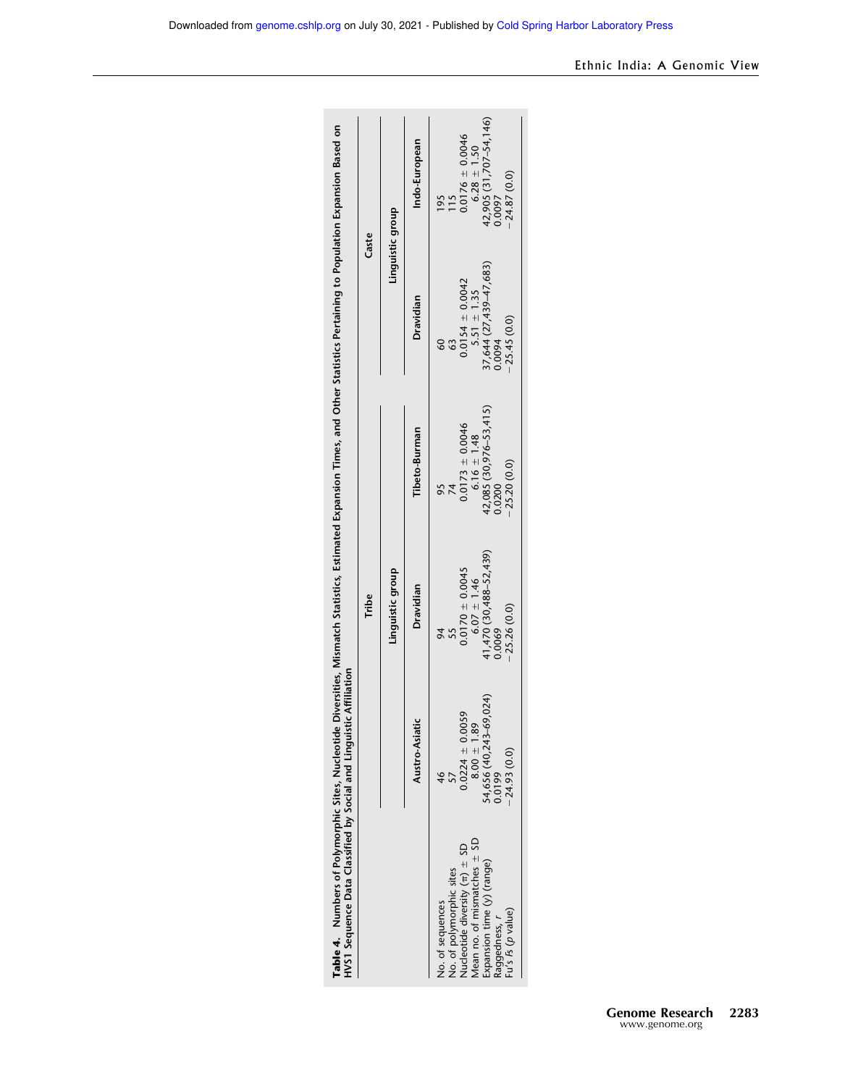|                                                                                                                                                                                                                                | Caste | Linguistic group | Indo-European        |
|--------------------------------------------------------------------------------------------------------------------------------------------------------------------------------------------------------------------------------|-------|------------------|----------------------|
|                                                                                                                                                                                                                                |       |                  | Dravidian            |
|                                                                                                                                                                                                                                |       |                  | <b>Tibeto-Burman</b> |
|                                                                                                                                                                                                                                | Tribe | Linguistic group | Dravidian            |
|                                                                                                                                                                                                                                |       |                  | Austro-Asiatic       |
| l able 4. Numbers or Polymorphic Sites, Nusmatch Statistics, Estimated Expansion Times, and Other Statistics Pertaining to Population Expansion Based on<br>HVS1 Sequence Data Classified by Social and Linguistic Affiliation |       |                  |                      |

No. of sequences 46 94 95 60 94 95 70. of 46 95 70. of 46 95 70. of 46 95 70. of 46 95 70. of 46 95 70. of 46 95 70. of 47 95 70. of 47 95 70. of 47 95 70. of 47 95 70. of 47 95 70. of 47 95 70. of 47 95 70. of 47 95 70. o No. of polymorphic sites  $\overline{57}$   $\overline{58}$   $\overline{58}$   $\overline{53}$   $\overline{53}$   $\overline{53}$   $\overline{53}$   $\overline{53}$   $\overline{53}$   $\overline{53}$   $\overline{53}$   $\overline{53}$   $\overline{53}$   $\overline{53}$   $\overline{53}$   $\overline{53}$   $\overline{53}$   $\overline{53}$   $\overline{53}$   $\overline{5$ 

Nucleotide diversity () SD 0.0224 0.0059 0.0170 0.0045 0.0173 0.0046 0.0154 0.0042 0.0176 0.0046 Mean no. of mismatches ± SD 8.00 ± 1.89 6.07 ± 1.46 6.16 ± 1.48<br>Fxpansion time (v) (range) 54 656 (40.243–69.024) 41.470 (30.488–52.439) 42.085 (30.976–53.415) 37.644 (21.439–47.683) 42.905 (31.707–5<br>Fxpansion time (v) (ra /GPT,F5-20/1Ey SO6(2T-9SFX-22) 479,C67 (STP:SFy-526/05) S80(27 (6.67,25-884/06) 927.17 (700/69-772/07)929/55 (30,09-54,146)

94<br>  $0.55$ <br>  $0.0170 \pm 0.0045$ <br>  $6.07 \pm 1.46$ <br>  $41,470 (30,488-52,439)$ <br>  $0.0069$ <br>  $-25.26 (0.0)$ 

 $\begin{array}{c} 46 \\ 57 \\ 0.0224 \pm 0.0059 \\ 8.00 \pm 1.89 \\ 54,656 (40,243-69,024) \\ 0.0199 \\ -24.93 (0.0) \end{array}$ 

No. of sequences<br>
No. of polymorphic sites<br>
Nucleotide diversity  $(\pi) \pm SD$ <br>
Mean no. of mismatches  $\pm SD$ <br>
Expansion time (y) (range)<br>
Raggedness, r<br>
Fu's *F*s (*p* value)

95<br>  $74$ <br>  $0.0173 \pm 0.0046$ <br>  $6.16 \pm 1.48$ <br>  $42,085 (30,976-53,415)$ <br>  $0.0200$ <br>  $-25.20 (0.0)$ 

Raggedness, r<sub>.</sub> 0.0199 0.0199 0.0199 0.0199 0.0000 0.0000 0.0000 0.0000 0.0000 0.0000 0.0094 0.0094 0.0094 0.0094 0.0094 0.0094 0.0094 0.0094 0.0094 0.0094 0.0094 0.0094 0.0094 0.0094 0.0094 0.0094 0.0094 0.0094 0.0094 0

 $-25.26(0.0)$ 

25.20 (0.0) -

 $-25.45(0.0)$ 

 $\begin{array}{c} 195 \\ 115 \\ 0.0176 \pm 0.0046 \\ 6.28 \pm 1.50 \\ 42,905 (31,707-54,146) \\ 0.0097 \\ -24.87 (0.0) \end{array}$ 

60<br>
63<br>
0.0154 ± 0.0042<br>
5.51 ± 1.35<br>
37,644 (27,439-47,683)<br>
0.0094<br>
-25.45 (0.0)

Fu's *F*s (*p* value) -

24.93 (0.0) -

Table 4. Numbers of Polymorphic Sites, Nucleotide Diversities, Mismatch Statistics, Estimated Expansion Times, and Other Statistics Pertaining to Population Based on  $\overline{1}$  $\cdot$  $\ddot{.}$  $\ddot{\cdot}$  $\ddot{\cdot}$  $\ddot{\cdot}$  $\ddot{\cdot}$ j j  $\vdots$ Nuclootide Dis  $\ddot{\cdot}$  $\cdot$  $\ddot{\cdot}$  $T = 1.1133 \pm 0.01133$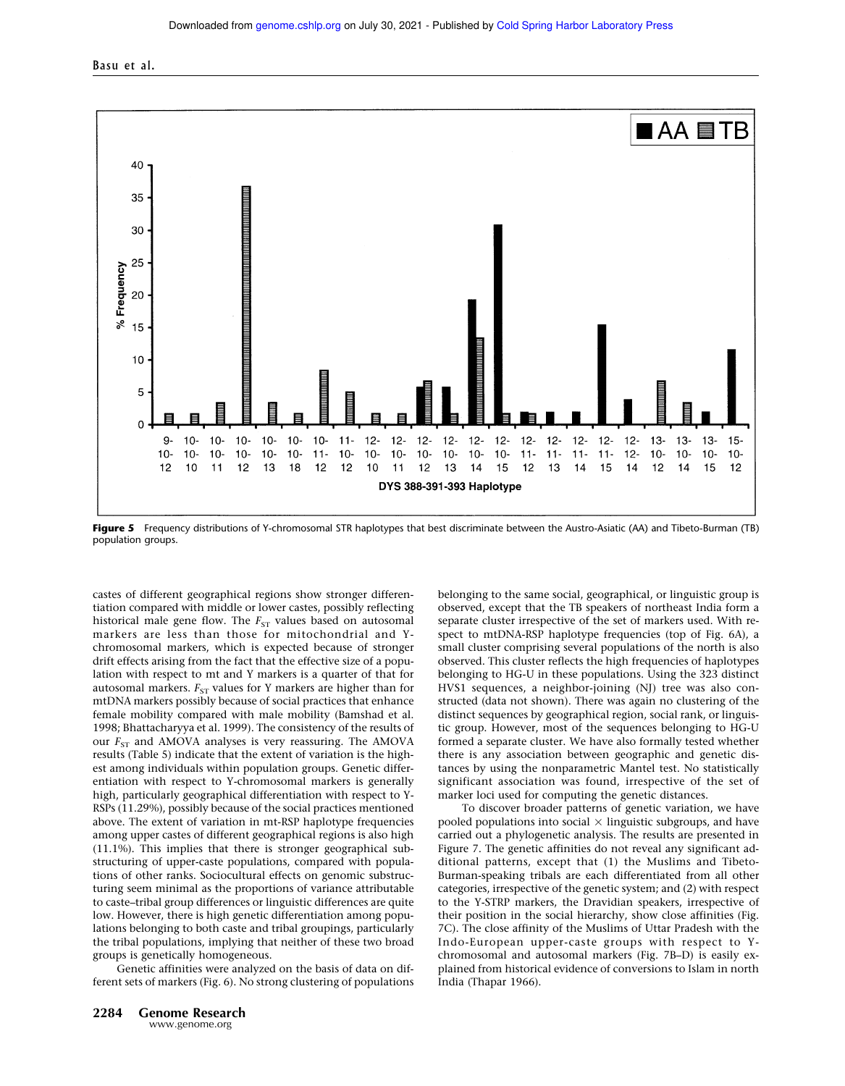

**Figure 5** Frequency distributions of Y-chromosomal STR haplotypes that best discriminate between the Austro-Asiatic (AA) and Tibeto-Burman (TB) population groups.

castes of different geographical regions show stronger differentiation compared with middle or lower castes, possibly reflecting historical male gene flow. The  $F_{ST}$  values based on autosomal markers are less than those for mitochondrial and Ychromosomal markers, which is expected because of stronger drift effects arising from the fact that the effective size of a population with respect to mt and Y markers is a quarter of that for autosomal markers.  $F_{ST}$  values for Y markers are higher than for mtDNA markers possibly because of social practices that enhance female mobility compared with male mobility (Bamshad et al. 1998; Bhattacharyya et al. 1999). The consistency of the results of our  $F_{ST}$  and AMOVA analyses is very reassuring. The AMOVA results (Table 5) indicate that the extent of variation is the highest among individuals within population groups. Genetic differentiation with respect to Y-chromosomal markers is generally high, particularly geographical differentiation with respect to Y-RSPs (11.29%), possibly because of the social practices mentioned above. The extent of variation in mt-RSP haplotype frequencies among upper castes of different geographical regions is also high (11.1%). This implies that there is stronger geographical substructuring of upper-caste populations, compared with populations of other ranks. Sociocultural effects on genomic substructuring seem minimal as the proportions of variance attributable to caste–tribal group differences or linguistic differences are quite low. However, there is high genetic differentiation among populations belonging to both caste and tribal groupings, particularly the tribal populations, implying that neither of these two broad groups is genetically homogeneous.

Genetic affinities were analyzed on the basis of data on different sets of markers (Fig. 6). No strong clustering of populations belonging to the same social, geographical, or linguistic group is observed, except that the TB speakers of northeast India form a separate cluster irrespective of the set of markers used. With respect to mtDNA-RSP haplotype frequencies (top of Fig. 6A), a small cluster comprising several populations of the north is also observed. This cluster reflects the high frequencies of haplotypes belonging to HG-U in these populations. Using the 323 distinct HVS1 sequences, a neighbor-joining (NJ) tree was also constructed (data not shown). There was again no clustering of the distinct sequences by geographical region, social rank, or linguistic group. However, most of the sequences belonging to HG-U formed a separate cluster. We have also formally tested whether there is any association between geographic and genetic distances by using the nonparametric Mantel test. No statistically significant association was found, irrespective of the set of marker loci used for computing the genetic distances.

To discover broader patterns of genetic variation, we have pooled populations into social  $\times$  linguistic subgroups, and have carried out a phylogenetic analysis. The results are presented in Figure 7. The genetic affinities do not reveal any significant additional patterns, except that (1) the Muslims and Tibeto-Burman-speaking tribals are each differentiated from all other categories, irrespective of the genetic system; and (2) with respect to the Y-STRP markers, the Dravidian speakers, irrespective of their position in the social hierarchy, show close affinities (Fig. 7C). The close affinity of the Muslims of Uttar Pradesh with the Indo-European upper-caste groups with respect to Ychromosomal and autosomal markers (Fig. 7B–D) is easily explained from historical evidence of conversions to Islam in north India (Thapar 1966).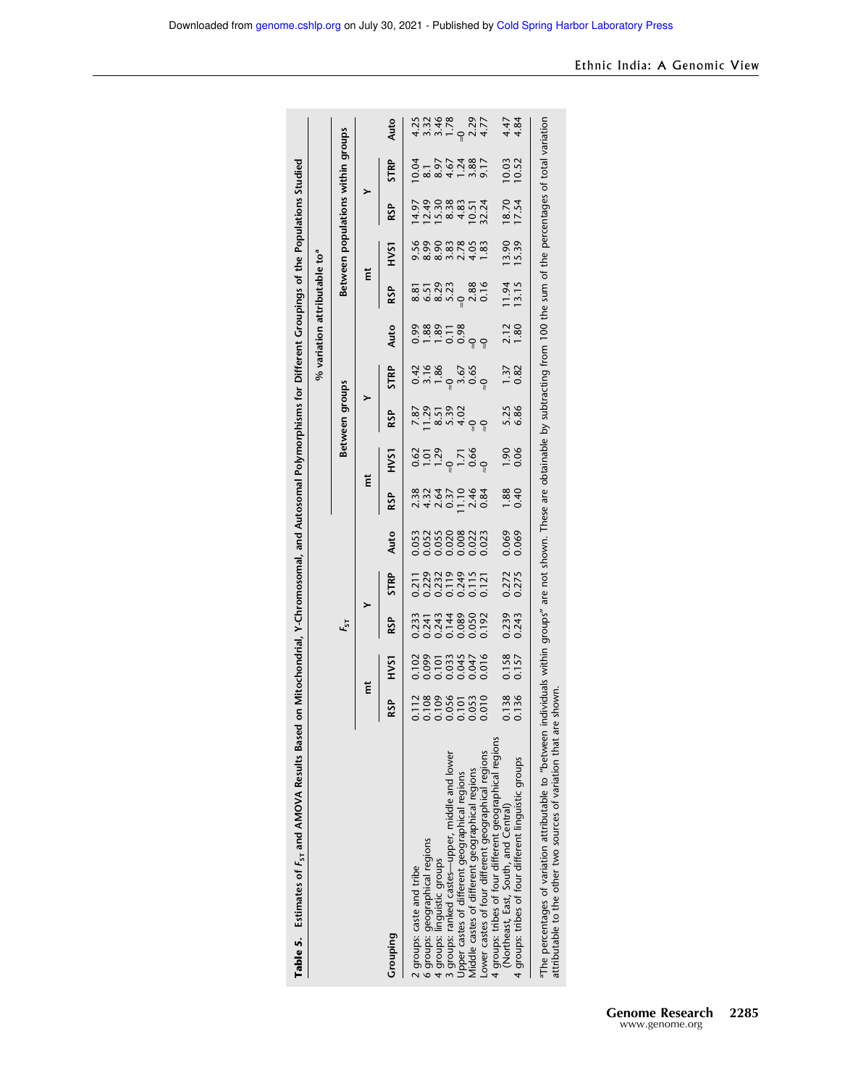|          | Table 5. Estimates of F <sub>st</sub> and AMOVA Results Based on Mitochondrial, Y-Chromosomal, and Autosomal Polymorphisms for Different Groupings of the Populations Studied                                                                                    |                                           |                |                                                       |                                          |                |                                             |                                             |                |                            |                                       |                              |                    |                                                                  |                                                 |                                  |
|----------|------------------------------------------------------------------------------------------------------------------------------------------------------------------------------------------------------------------------------------------------------------------|-------------------------------------------|----------------|-------------------------------------------------------|------------------------------------------|----------------|---------------------------------------------|---------------------------------------------|----------------|----------------------------|---------------------------------------|------------------------------|--------------------|------------------------------------------------------------------|-------------------------------------------------|----------------------------------|
|          |                                                                                                                                                                                                                                                                  |                                           |                |                                                       |                                          |                |                                             |                                             |                |                            | % variation attributable to $\degree$ |                              |                    |                                                                  |                                                 |                                  |
|          |                                                                                                                                                                                                                                                                  |                                           |                | $F_{ST}$                                              |                                          |                |                                             |                                             | Between groups |                            |                                       |                              |                    |                                                                  | Between populations within groups               |                                  |
|          |                                                                                                                                                                                                                                                                  |                                           | Ĕ              |                                                       |                                          |                | Ĕ                                           |                                             |                |                            |                                       | Ĕ                            |                    |                                                                  |                                                 |                                  |
| Grouping |                                                                                                                                                                                                                                                                  | RSP                                       | <b>TS/H</b>    | RSP                                                   | <b>STRP</b>                              | Auto           | <b>RSP</b>                                  | <b>HVS1</b>                                 | RSP            | STRP                       | Auto                                  | RSP                          | <b>HVS1</b>        | RSP                                                              | STRP                                            | Auto                             |
|          | 2 groups: caste and tribe                                                                                                                                                                                                                                        |                                           |                |                                                       |                                          |                |                                             |                                             |                |                            |                                       |                              |                    |                                                                  |                                                 |                                  |
|          | 6 groups: geographical regions                                                                                                                                                                                                                                   |                                           |                |                                                       |                                          |                |                                             |                                             |                |                            |                                       |                              |                    |                                                                  |                                                 |                                  |
|          | 4 groups: linguistic groups                                                                                                                                                                                                                                      |                                           |                |                                                       |                                          |                |                                             |                                             |                |                            |                                       |                              |                    |                                                                  |                                                 |                                  |
|          | 3 groups: ranked castes-upper, middle and lower                                                                                                                                                                                                                  |                                           |                |                                                       |                                          |                |                                             |                                             |                |                            |                                       |                              |                    |                                                                  |                                                 |                                  |
|          | Upper castes of different geographical regions                                                                                                                                                                                                                   |                                           |                |                                                       |                                          |                |                                             |                                             |                |                            |                                       |                              |                    |                                                                  |                                                 |                                  |
|          | Middle castes of different geographical regions                                                                                                                                                                                                                  | 1128<br>1080565<br>0.0505050<br>0.0505050 |                | 0.233<br>0.243<br>0.243<br>0.0.0.0.0.2<br>0.0.0.0.0.2 | 11<br>0.223<br>0.0.249<br>0.115<br>0.121 |                | 22222042224<br>2222222422                   | 858 58<br>858 58<br>858 58                  |                | 378 68<br>378 68<br>478 69 | 888558<br>02655                       | 8<br>85<br>882<br>885<br>885 | 8888888<br>8888888 | $11.90803714$<br>$12.90803714$<br>$12.90803714$<br>$12.90803714$ | 0 0 0 4 - 0 0<br>2 - 9 0 4 0 0<br>2 - 9 0 4 0 0 |                                  |
|          | 4 groups: tribes of four different geographical regions<br>Lower castes of four different geographical regions                                                                                                                                                   |                                           |                |                                                       |                                          |                |                                             |                                             |                |                            |                                       |                              |                    |                                                                  |                                                 | 4 ww-3 vit<br>3 vites<br>3 vites |
|          | (Northeast, East, South, and Central)                                                                                                                                                                                                                            | 0.138                                     | 0.158<br>0.157 | 0.239<br>0.243                                        | 0.272<br>0.275                           |                | $\begin{array}{c} 1.88 \\ 0.40 \end{array}$ | $\begin{array}{c} 0.06 \\ 0.06 \end{array}$ |                | $\frac{1.37}{0.82}$        | 2.12                                  | 11.94<br>13.15               | 3.39<br>5.39       | 18.70                                                            | $\frac{10.03}{10.52}$                           |                                  |
|          | 4 groups: tribes of four different linguistic groups                                                                                                                                                                                                             |                                           |                |                                                       |                                          | 0.069<br>0.069 |                                             |                                             | 5.25<br>6.86   |                            |                                       |                              |                    |                                                                  |                                                 | $4.\overline{8}$<br>4.84         |
|          | "The percentages of variation attributable to "between individuals within groups" are not shown. These are obtainable by subtracting from 100 the sum of the percentages of total variation<br>attributable to the other two sources of variation that are shown |                                           |                |                                                       |                                          |                |                                             |                                             |                |                            |                                       |                              |                    |                                                                  |                                                 |                                  |

Ethnic India: A Genomic View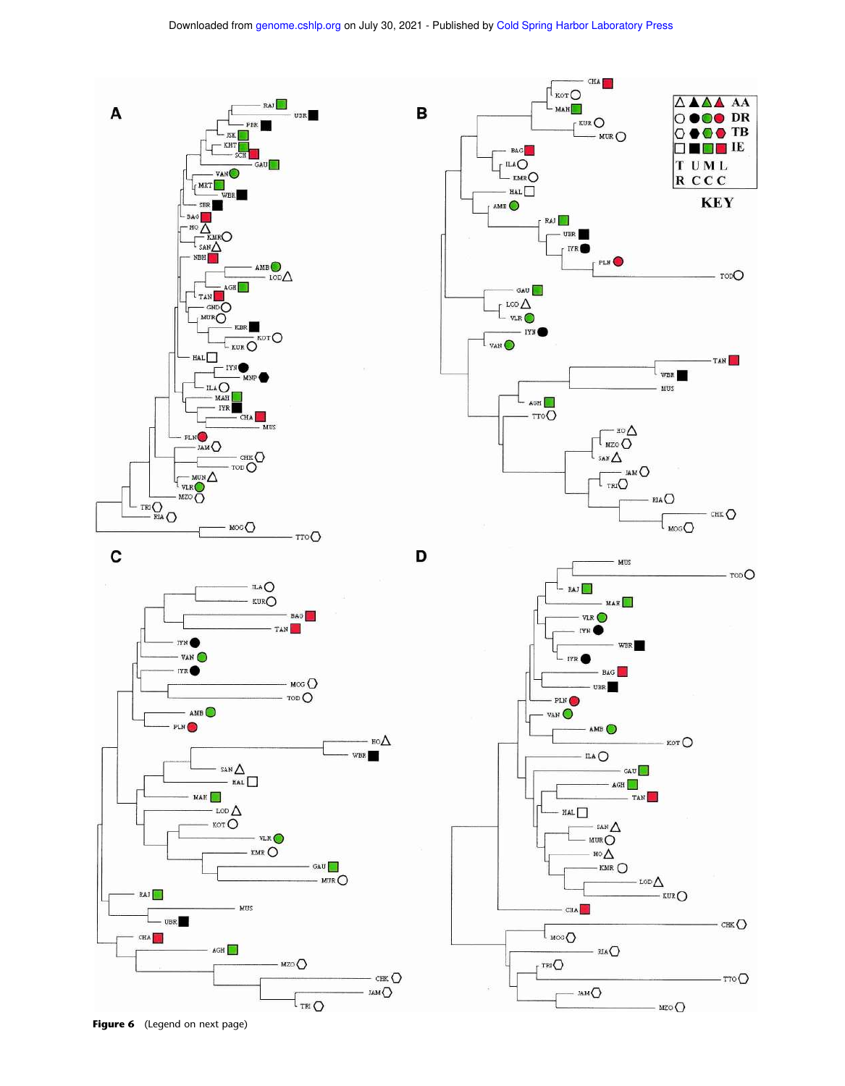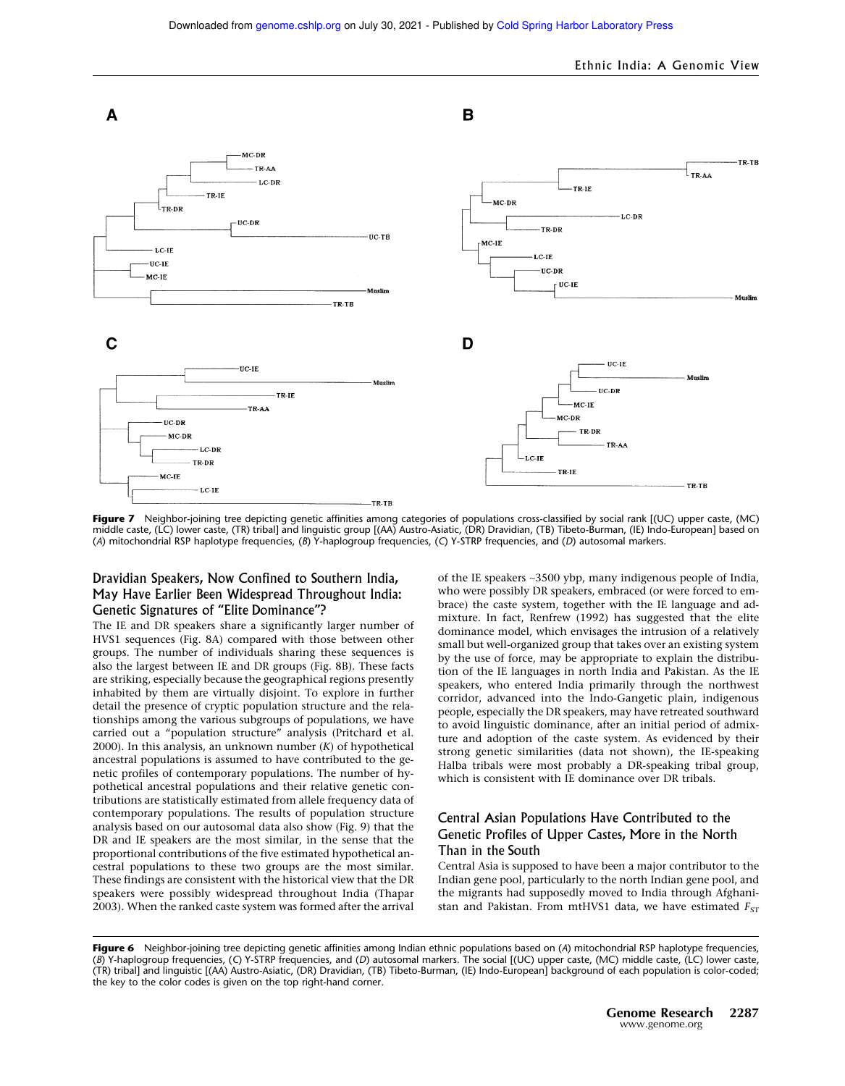

**Figure 7** Neighbor-joining tree depicting genetic affinities among categories of populations cross-classified by social rank [(UC) upper caste, (MC) middle caste, (LC) lower caste, (TR) tribal] and linguistic group [(AA) Austro-Asiatic, (DR) Dravidian, (TB) Tibeto-Burman, (IE) Indo-European] based on (*A*) mitochondrial RSPhaplotype frequencies, (*B*) Y-haplogroup frequencies, (*C*) Y-STRPfrequencies, and (*D*) autosomal markers.

# Dravidian Speakers, Now Confined to Southern India, May Have Earlier Been Widespread Throughout India: Genetic Signatures of "Elite Dominance"?

The IE and DR speakers share a significantly larger number of HVS1 sequences (Fig. 8A) compared with those between other groups. The number of individuals sharing these sequences is also the largest between IE and DR groups (Fig. 8B). These facts are striking, especially because the geographical regions presently inhabited by them are virtually disjoint. To explore in further detail the presence of cryptic population structure and the relationships among the various subgroups of populations, we have carried out a "population structure" analysis (Pritchard et al. 2000). In this analysis, an unknown number (*K*) of hypothetical ancestral populations is assumed to have contributed to the genetic profiles of contemporary populations. The number of hypothetical ancestral populations and their relative genetic contributions are statistically estimated from allele frequency data of contemporary populations. The results of population structure analysis based on our autosomal data also show (Fig. 9) that the DR and IE speakers are the most similar, in the sense that the proportional contributions of the five estimated hypothetical ancestral populations to these two groups are the most similar. These findings are consistent with the historical view that the DR speakers were possibly widespread throughout India (Thapar 2003). When the ranked caste system was formed after the arrival

of the IE speakers ~3500 ybp, many indigenous people of India, who were possibly DR speakers, embraced (or were forced to embrace) the caste system, together with the IE language and admixture. In fact, Renfrew (1992) has suggested that the elite dominance model, which envisages the intrusion of a relatively small but well-organized group that takes over an existing system by the use of force, may be appropriate to explain the distribution of the IE languages in north India and Pakistan. As the IE speakers, who entered India primarily through the northwest corridor, advanced into the Indo-Gangetic plain, indigenous people, especially the DR speakers, may have retreated southward to avoid linguistic dominance, after an initial period of admixture and adoption of the caste system. As evidenced by their strong genetic similarities (data not shown), the IE-speaking Halba tribals were most probably a DR-speaking tribal group, which is consistent with IE dominance over DR tribals.

# Central Asian Populations Have Contributed to the Genetic Profiles of Upper Castes, More in the North Than in the South

Central Asia is supposed to have been a major contributor to the Indian gene pool, particularly to the north Indian gene pool, and the migrants had supposedly moved to India through Afghanistan and Pakistan. From mtHVS1 data, we have estimated  $F_{ST}$ 

Figure 6 Neighbor-joining tree depicting genetic affinities among Indian ethnic populations based on (A) mitochondrial RSP haplotype frequencies, (*B*) Y-haplogroup frequencies, (*C*) Y-STRPfrequencies, and (*D*) autosomal markers. The social [(UC) upper caste, (MC) middle caste, (LC) lower caste, (TR) tribal] and linguistic [(AA) Austro-Asiatic, (DR) Dravidian, (TB) Tibeto-Burman, (IE) Indo-European] background of each population is color-coded; the key to the color codes is given on the top right-hand corner.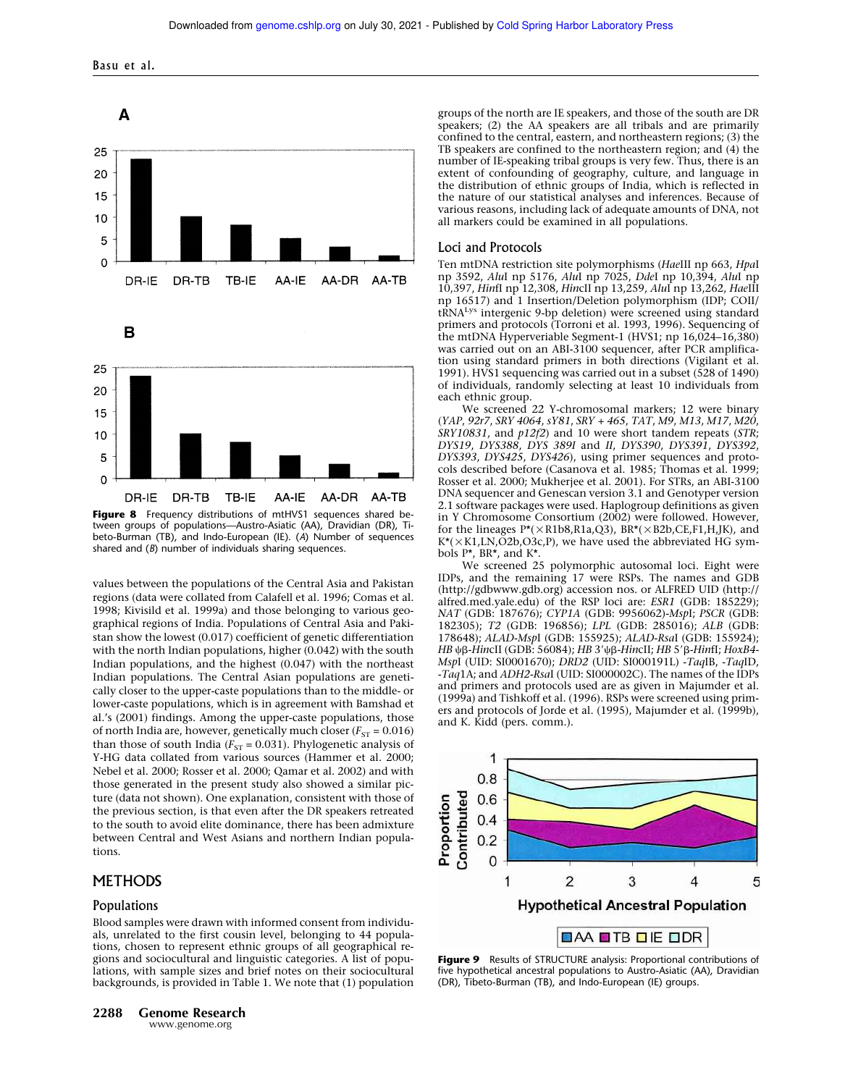

**Figure 8** Frequency distributions of mtHVS1 sequences shared between groups of populations—Austro-Asiatic (AA), Dravidian (DR), Tibeto-Burman (TB), and Indo-European (IE). (*A*) Number of sequences shared and (*B*) number of individuals sharing sequences.

values between the populations of the Central Asia and Pakistan regions (data were collated from Calafell et al. 1996; Comas et al. 1998; Kivisild et al. 1999a) and those belonging to various geographical regions of India. Populations of Central Asia and Pakistan show the lowest (0.017) coefficient of genetic differentiation with the north Indian populations, higher  $(0.042)$  with the south Indian populations, and the highest (0.047) with the northeast Indian populations. The Central Asian populations are genetically closer to the upper-caste populations than to the middle- or lower-caste populations, which is in agreement with Bamshad et al.'s (2001) findings. Among the upper-caste populations, those of north India are, however, genetically much closer ( $F_{ST}$  = 0.016) than those of south India ( $F_{ST}$  = 0.031). Phylogenetic analysis of Y-HG data collated from various sources (Hammer et al. 2000; Nebel et al. 2000; Rosser et al. 2000; Qamar et al. 2002) and with those generated in the present study also showed a similar picture (data not shown). One explanation, consistent with those of the previous section, is that even after the DR speakers retreated to the south to avoid elite dominance, there has been admixture between Central and West Asians and northern Indian populations.

# **METHODS**

#### Populations

Blood samples were drawn with informed consent from individuals, unrelated to the first cousin level, belonging to 44 populations, chosen to represent ethnic groups of all geographical regions and sociocultural and linguistic categories. A list of populations, with sample sizes and brief notes on their sociocultural backgrounds, is provided in Table 1. We note that (1) population

**2288 Genome Research**

www.genome.org

groups of the north are IE speakers, and those of the south are DR speakers; (2) the AA speakers are all tribals and are primarily confined to the central, eastern, and northeastern regions; (3) the TB speakers are confined to the northeastern region; and (4) the number of IE-speaking tribal groups is very few. Thus, there is an extent of confounding of geography, culture, and language in the distribution of ethnic groups of India, which is reflected in the nature of our statistical analyses and inferences. Because of various reasons, including lack of adequate amounts of DNA, not all markers could be examined in all populations.

#### Loci and Protocols

Ten mtDNA restriction site polymorphisms (*Hae*III np 663, *Hpa*I np 3592, *Alu*I np 5176, *Alu*I np 7025, *Dde*I np 10,394, *Alu*I np 10,397, *Hin*fI np 12,308, *Hin*cII np 13,259, *Alu*I np 13,262, *Hae*III np 16517) and 1 Insertion/Deletion polymorphism (IDP; COII/ tRNALys intergenic 9-bp deletion) were screened using standard primers and protocols (Torroni et al. 1993, 1996). Sequencing of the mtDNA Hyperveriable Segment-1 (HVS1; np 16,024–16,380) was carried out on an ABI-3100 sequencer, after PCR amplification using standard primers in both directions (Vigilant et al. 1991). HVS1 sequencing was carried out in a subset (528 of 1490) of individuals, randomly selecting at least 10 individuals from each ethnic group.

We screened 22 Y-chromosomal markers; 12 were binary (*YAP*, *92r7*, *SRY 4064*, *sY81*, *SRY + 465*, *TAT*, *M9*, *M13*, *M17*, *M20*, *SRY10831*, and *p12f2*) and 10 were short tandem repeats (*STR*; *DYS19*, *DYS388*, *DYS 389I* and *II*, *DYS390*, *DYS391*, *DYS392*, *DYS393, DYS425, DYS426*), using primer sequences and protocols described before (Casanova et al. 1985; Thomas et al. 1999; Rosser et al. 2000; Mukherjee et al. 2001). For STRs, an ABI-3100 DNA sequencer and Genescan version 3.1 and Genotyper version 2.1 software packages were used. Haplogroup definitions as given in Y Chromosome Consortium (2002) were followed. However, for the lineages  $P^*(\times R1b8, R1a, Q3)$ ,  $BR^*(\times B2b, CE, F1, H, JK)$ , and  $K^*(\times K1, LN, O2b, O3c, P)$ , we have used the abbreviated HG symbols  $P^*$ , BR\*, and K\*.

We screened 25 polymorphic autosomal loci. Eight were IDPs, and the remaining 17 were RSPs. The names and GDB (http://gdbwww.gdb.org) accession nos. or ALFRED UID (http:// alfred.med.yale.edu) of the RSP loci are: *ESR1* (GDB: 185229); *NAT* (GDB: 187676); *CYP1A* (GDB: 9956062)-*Msp*I; *PSCR* (GDB: 182305); *T2* (GDB: 196856); *LPL* (GDB: 285016); *ALB* (GDB: 178648); *ALAD-Msp*I (GDB: 155925); *ALAD*-*Rsa*I (GDB: 155924); *HB* ψβ-*Hin*cII (GDB: 56084); *HB* 3′ψβ-*Hin*cII; *HB* 5′β-*Hinf*I; *HoxB4*-*Msp*I (UID: SI0001670); *DRD2* (UID: SI000191L) -*Taq*IB,-*Taq*ID, -*Taq*1A; and *ADH2*-*Rsa*I (UID: SI000002C). The names of the IDPs and primers and protocols used are as given in Majumder et al. (1999a) and Tishkoff et al. (1996). RSPs were screened using primers and protocols of Jorde et al. (1995), Majumder et al. (1999b), and K. Kidd (pers. comm.).



**Figure 9** Results of STRUCTURE analysis: Proportional contributions of five hypothetical ancestral populations to Austro-Asiatic (AA), Dravidian (DR), Tibeto-Burman (TB), and Indo-European (IE) groups.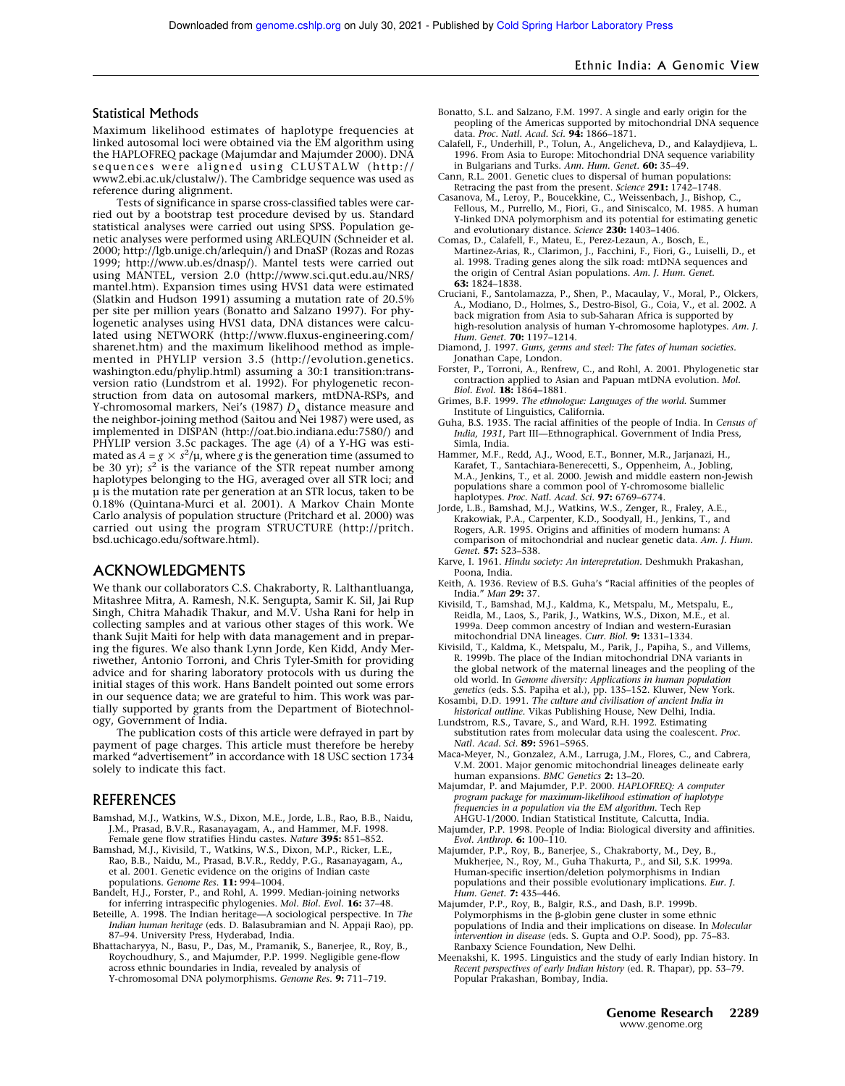#### Statistical Methods

Maximum likelihood estimates of haplotype frequencies at linked autosomal loci were obtained via the EM algorithm using the HAPLOFREQ package (Majumdar and Majumder 2000). DNA sequences were aligned using CLUSTALW (http:// www2.ebi.ac.uk/clustalw/). The Cambridge sequence was used as reference during alignment.

Tests of significance in sparse cross-classified tables were carried out by a bootstrap test procedure devised by us. Standard statistical analyses were carried out using SPSS. Population genetic analyses were performed using ARLEQUIN (Schneider et al. 2000; http://lgb.unige.ch/arlequin/) and DnaSP (Rozas and Rozas 1999; http://www.ub.es/dnasp/). Mantel tests were carried out using MANTEL, version 2.0 (http://www.sci.qut.edu.au/NRS/ mantel.htm). Expansion times using HVS1 data were estimated (Slatkin and Hudson 1991) assuming a mutation rate of 20.5% per site per million years (Bonatto and Salzano 1997). For phylogenetic analyses using HVS1 data, DNA distances were calculated using NETWORK (http://www.fluxus-engineering.com/ sharenet.htm) and the maximum likelihood method as implemented in PHYLIP version 3.5 (http://evolution.genetics. washington.edu/phylip.html) assuming a 30:1 transition:transversion ratio (Lundstrom et al. 1992). For phylogenetic reconstruction from data on autosomal markers, mtDNA-RSPs, and Y-chromosomal markers, Nei's (1987)  $D_A$  distance measure and the neighbor-joining method (Saitou and Nei 1987) were used, as implemented in DISPAN (http://oat.bio.indiana.edu:7580/) and PHYLIP version 3.5c packages. The age (*A*) of a Y-HG was estimated as  $A = g \times s^2/\mu$ , where *g* is the generation time (assumed to be 30 yr); *s* 2 is the variance of the STR repeat number among haplotypes belonging to the HG, averaged over all STR loci; and µ is the mutation rate per generation at an STR locus, taken to be 0.18% (Quintana-Murci et al. 2001). A Markov Chain Monte Carlo analysis of population structure (Pritchard et al. 2000) was carried out using the program STRUCTURE (http://pritch. bsd.uchicago.edu/software.html).

#### ACKNOWLEDGMENTS

We thank our collaborators C.S. Chakraborty, R. Lalthantluanga, Mitashree Mitra, A. Ramesh, N.K. Sengupta, Samir K. Sil, Jai Rup Singh, Chitra Mahadik Thakur, and M.V. Usha Rani for help in collecting samples and at various other stages of this work. We thank Sujit Maiti for help with data management and in preparing the figures. We also thank Lynn Jorde, Ken Kidd, Andy Merriwether, Antonio Torroni, and Chris Tyler-Smith for providing advice and for sharing laboratory protocols with us during the initial stages of this work. Hans Bandelt pointed out some errors in our sequence data; we are grateful to him. This work was partially supported by grants from the Department of Biotechnology, Government of India.

The publication costs of this article were defrayed in part by payment of page charges. This article must therefore be hereby marked "advertisement" in accordance with 18 USC section 1734 solely to indicate this fact.

#### REFERENCES

- Bamshad, M.J., Watkins, W.S., Dixon, M.E., Jorde, L.B., Rao, B.B., Naidu, J.M., Prasad, B.V.R., Rasanayagam, A., and Hammer, M.F. 1998. Female gene flow stratifies Hindu castes. *Nature* **395:** 851–852.
- Bamshad, M.J., Kivisild, T., Watkins, W.S., Dixon, M.P., Ricker, L.E., Rao, B.B., Naidu, M., Prasad, B.V.R., Reddy, P.G., Rasanayagam, A., et al. 2001. Genetic evidence on the origins of Indian caste populations. *Genome Res.* **11:** 994–1004.
- Bandelt, H.J., Forster, P., and Rohl, A. 1999. Median-joining networks for inferring intraspecific phylogenies. *Mol. Biol. Evol.* **16:** 37–48.
- Beteille,A. 1998. The Indian heritage—A sociological perspective. In *The Indian human heritage* (eds. D. Balasubramian and N. Appaji Rao), pp. 87-94. University Press, Hyderabad, India.
- Bhattacharyya, N., Basu, P., Das, M., Pramanik, S., Banerjee, R., Roy, B., Roychoudhury, S., and Majumder, P.P. 1999. Negligible gene-flow across ethnic boundaries in India, revealed by analysis of Y-chromosomal DNA polymorphisms. *Genome Res.* **9:** 711–719.
- Bonatto, S.L. and Salzano, F.M. 1997. A single and early origin for the peopling of the Americas supported by mitochondrial DNA sequence data. *Proc. Natl. Acad. Sci.* **94:** 1866–1871.
- Calafell, F., Underhill, P., Tolun, A., Angelicheva, D., and Kalaydjieva, L. 1996. From Asia to Europe: Mitochondrial DNA sequence variability in Bulgarians and Turks. *Ann. Hum. Genet.* **60:** 35–49.
- Cann, R.L. 2001. Genetic clues to dispersal of human populations: Retracing the past from the present. *Science* **291:** 1742–1748.
- Casanova, M., Leroy, P., Boucekkine, C., Weissenbach, J., Bishop, C., Fellous, M., Purrello, M., Fiori, G., and Siniscalco, M. 1985. A human Y-linked DNA polymorphism and its potential for estimating genetic and evolutionary distance. *Science* **230:** 1403–1406.
- Comas, D., Calafell, F., Mateu, E., Perez-Lezaun, A., Bosch, E., Martinez-Arias, R., Clarimon, J., Facchini, F., Fiori, G., Luiselli, D., et al. 1998. Trading genes along the silk road: mtDNA sequences and the origin of Central Asian populations. *Am. J. Hum. Genet.* **63:** 1824–1838.
- Cruciani, F., Santolamazza, P., Shen, P., Macaulay, V., Moral, P., Olckers, A., Modiano, D., Holmes, S., Destro-Bisol, G., Coia, V., et al. 2002. A back migration from Asia to sub-Saharan Africa is supported by high-resolution analysis of human Y-chromosome haplotypes. *Am. J. Hum. Genet.* **70:** 1197–1214.
- Diamond,J. 1997. *Guns, germs and steel: The fates of human societies.* Jonathan Cape, London.
- Forster, P., Torroni, A., Renfrew, C., and Rohl, A. 2001. Phylogenetic star contraction applied to Asian and Papuan mtDNA evolution. *Mol. Biol. Evol.* **18:** 1864–1881.
- Grimes, B.F. 1999. *The ethnologue: Languages of the world.* Summer Institute of Linguistics, California.
- Guha,B.S. 1935. The racial affinities of the people of India. In *Census of* India, 1931, Part III—Ethnographical. Government of India Press, Simla, India.
- Hammer, M.F., Redd, A.J., Wood, E.T., Bonner, M.R., Jarjanazi, H., Karafet, T., Santachiara-Benerecetti, S., Oppenheim, A., Jobling,<br>M.A., Jenkins, T., et al. 2000. Jewish and middle eastern non-Jewish populations share a common pool of Y-chromosome biallelic
- haplotypes. *Proc. Natl. Acad. Sci.* **97:** 6769–6774.<br>Jorde, L.B., Bamshad, M.J., Watkins, W.S., Zenger, R., Fraley, A.E., Krakowiak, P.A., Carpenter, K.D., Soodyall, H., Jenkins, T., and<br>Rogers, A.R. 1995. Origins and aff comparison of mitochondrial and nuclear genetic data. *Am. J. Hum.*
- Genet. **57:** 523-538.<br>Karve, I. 1961. *Hindu society: An interepretation*. Deshmukh Prakashan, Poona, India.
- Keith, A. 1936. Review of B.S. Guha's "Racial affinities of the peoples of India." *Man* **29:** 37.
- Kivisild, T., Bamshad, M.J., Kaldma, K., Metspalu, M., Metspalu, E., Reidla, M., Laos, S., Parik, J., Watkins, W.S., Dixon, M.E., et al. 1999a. Deep common ancestry of Indian and western-Eurasian mitochondrial DNA lineages. *Curr. Biol.* **9:** 1331–1334.
- Kivisild, T., Kaldma, K., Metspalu, M., Parik, J., Papiha, S., and Villems, R. 1999b. The place of the Indian mitochondrial DNA variants in the global network of the maternal lineages and the peopling of the old world. In *Genome diversity: Applications in human population genetics* (eds. S.S. Papiha et al.), pp. 135–152. Kluwer, New York.
- Kosambi, D.D. 1991. *The culture and civilisation of ancient India in historical outline.* Vikas Publishing House, New Delhi, India.
- Lundstrom, R.S., Tavare, S., and Ward, R.H. 1992. Estimating substitution rates from molecular data using the coalescent. *Proc. Natl. Acad. Sci.* **89:** 5961–5965.
- Maca-Meyer, N., Gonzalez, A.M., Larruga, J.M., Flores, C., and Cabrera, V.M. 2001. Major genomic mitochondrial lineages delineate early human expansions. *BMC Genetics* **2:** 13–20.
- Majumdar,P. and Majumder,P.P. 2000. *HAPLOFREQ: A computer program package for maximum-likelihood estimation of haplotype frequencies in a population via the EM algorithm.* Tech Rep AHGU-1/2000. Indian Statistical Institute, Calcutta, India.
- Majumder, P.P. 1998. People of India: Biological diversity and affinities. *Evol. Anthrop.* **6:** 100–110.
- Majumder, P.P., Roy, B., Banerjee, S., Chakraborty, M., Dey, B., Mukherjee, N., Roy, M., Guha Thakurta, P., and Sil, S.K. 1999a. Human-specific insertion/deletion polymorphisms in Indian populations and their possible evolutionary implications. *Eur. J. Hum. Genet.* **7:** 435–446.
- Majumder, P.P., Roy, B., Balgir, R.S., and Dash, B.P. 1999b. Polymorphisms in the  $\beta$ -globin gene cluster in some ethnic populations of India and their implications on disease. In *Molecular intervention in disease* (eds. S. Gupta and O.P. Sood), pp. 75-83. Ranbaxy Science Foundation, New Delhi.
- Meenakshi, K. 1995. Linguistics and the study of early Indian history. In Recent perspectives of early Indian history (ed. R. Thapar), pp. 53-79. Popular Prakashan, Bombay, India.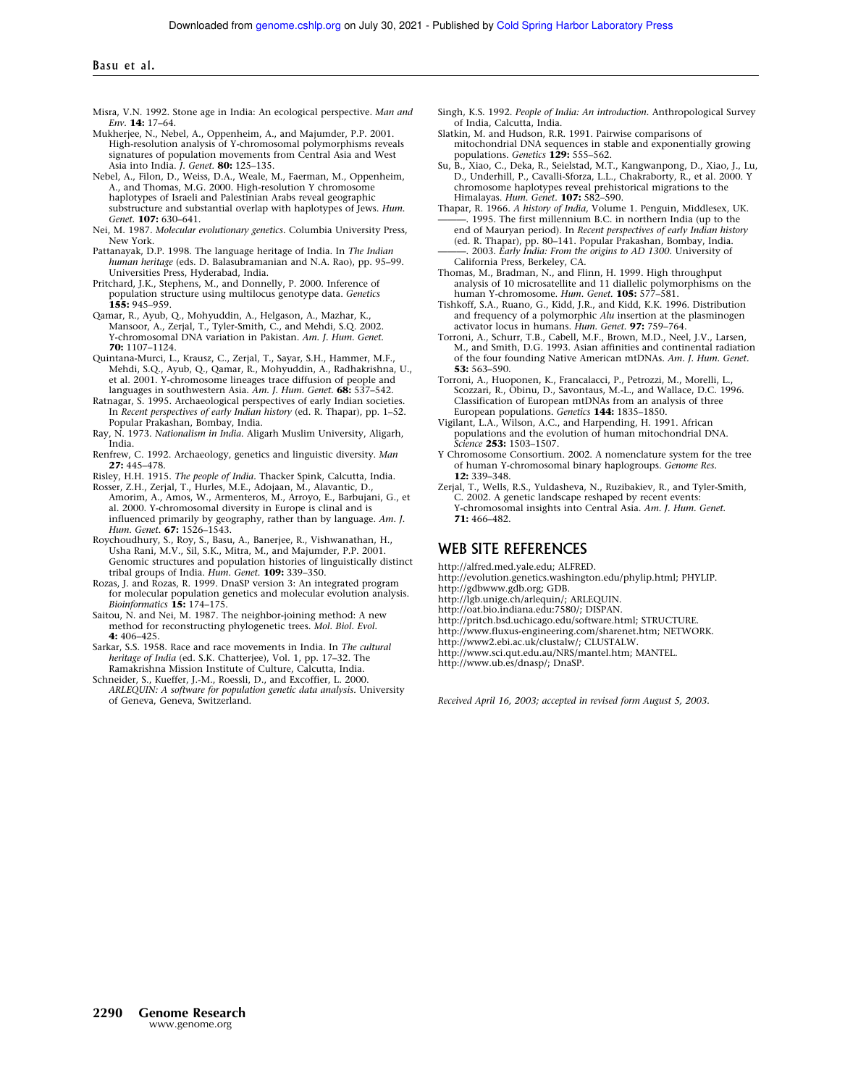Misra,V.N. 1992. Stone age in India: An ecological perspective. *Man and Env.* **14:** 17–64.

Mukherjee, N., Nebel, A., Oppenheim, A., and Majumder, P.P. 2001. High-resolution analysis of Y-chromosomal polymorphisms reveals signatures of population movements from Central Asia and West

Asia into India. *J. Genet.* **80:** 125-135.<br>Nebel, A., Filon, D., Weiss, D.A., Weale, M., Faerman, M., Oppenheim, A., and Thomas, M.G. 2000. High-resolution Y chromosome haplotypes of Israeli and Palestinian Arabs reveal geographic substructure and substantial overlap with haplotypes of Jews. *Hum. Genet.* **107:** 630–641.

Nei, M. 1987. *Molecular evolutionary genetics*. Columbia University Press, New York.

Pattanayak,D.P. 1998. The language heritage of India. In *The Indian* human heritage (eds. D. Balasubramanian and N.A. Rao), pp. 95-99. Universities Press, Hyderabad, India.

Pritchard, J.K., Stephens, M., and Donnelly, P. 2000. Inference of population structure using multilocus genotype data. *Genetics* **155:** 945–959.

Qamar, R., Ayub, Q., Mohyuddin, A., Helgason, A., Mazhar, K., Mansoor, A., Zerjal, T., Tyler-Smith, C., and Mehdi, S.Q. 2002. Y-chromosomal DNA variation in Pakistan. *Am. J. Hum. Genet.* **70:** 1107–1124.

Quintana-Murci, L., Krausz, C., Zerjal, T., Sayar, S.H., Hammer, M.F., Mehdi, S.Q., Ayub, Q., Qamar, R., Mohyuddin, A., Radhakrishna, U., et al. 2001. Y-chromosome lineages trace diffusion of people and languages in southwestern Asia. *Am. J. Hum. Genet.* **68:** 537–542.

Ratnagar, S. 1995. Archaeological perspectives of early Indian societies. In *Recent perspectives of early Indian history* (ed. R. Thapar), pp. 1–52. Popular Prakashan, Bombay, India.

Ray, N. 1973. *Nationalism in India*. Aligarh Muslim University, Aligarh, India.

Renfrew, C. 1992. Archaeology, genetics and linguistic diversity. Man **27:** 445–478.

Risley, H.H. 1915. *The people of India*. Thacker Spink, Calcutta, India.

Rosser, Z.H., Zerjal, T., Hurles, M.E., Adojaan, M., Alavantic, D., Amorim, A., Amos, W., Armenteros, M., Arroyo, E., Barbujani, G., et al. 2000. Y-chromosomal diversity in Europe is clinal and is influenced primarily by geography, rather than by language. Am. J. *Hum. Genet.* **67:** 1526–1543.

Roychoudhury, S., Roy, S., Basu, A., Banerjee, R., Vishwanathan, H., Usha Rani, M.V., Sil, S.K., Mitra, M., and Majumder, P.P. 2001. Genomic structures and population histories of linguistically distinct tribal groups of India. *Hum. Genet.* **109:** 339–350.

Rozas, J. and Rozas, R. 1999. DnaSP version 3: An integrated program for molecular population genetics and molecular evolution analysis. *Bioinformatics* **15:** 174–175.

Saitou, N. and Nei, M. 1987. The neighbor-joining method: A new method for reconstructing phylogenetic trees. *Mol. Biol. Evol.* **4:** 406–425.

Sarkar, S.S. 1958. Race and race movements in India. In *The cultural heritage of India* (ed. S.K. Chatterjee), Vol. 1, pp. 17-32. The Ramakrishna Mission Institute of Culture, Calcutta, India.

Schneider, S., Kueffer, J.-M., Roessli, D., and Excoffier, L. 2000. *ARLEQUIN: A software for population genetic data analysis.* University of Geneva, Geneva, Switzerland.

Singh, K.S. 1992. People of India: An introduction. Anthropological Survey of India, Calcutta, India.

Slatkin, M. and Hudson, R.R. 1991. Pairwise comparisons of mitochondrial DNA sequences in stable and exponentially growing populations. *Genetics* **129:** 555–562.

Su,B.,Xiao,C.,Deka,R.,Seielstad,M.T.,Kangwanpong,D.,Xiao,J.,Lu, D.,Underhill,P.,Cavalli-Sforza,L.L.,Chakraborty,R.,et al. 2000. Y chromosome haplotypes reveal prehistorical migrations to the Himalayas. *Hum. Genet.* **107:** 582–590.

Thapar, R. 1966. *A history of India, Volume 1. Penguin, Middlesex, UK.* 1995. The first millennium B.C. in northern India (up to the end of Mauryan period). In *Recent perspectives of early Indian history* (ed. R. Thapar), pp. 80–141. Popular Prakashan, Bombay, India. ———. 2003. *Early India: From the origins to AD 1300.* University of California Press, Berkeley, CA.

Thomas, M., Bradman, N., and Flinn, H. 1999. High throughput analysis of 10 microsatellite and 11 diallelic polymorphisms on the human Y-chromosome. *Hum. Genet.* **105:** 577–581.

Tishkoff, S.A., Ruano, G., Kidd, J.R., and Kidd, K.K. 1996. Distribution and frequency of a polymorphic *Alu* insertion at the plasminogen activator locus in humans. *Hum. Genet.* **97:** 759–764.

Torroni, A., Schurr, T.B., Cabell, M.F., Brown, M.D., Neel, J.V., Larsen, M., and Smith, D.G. 1993. Asian affinities and continental radiation of the four founding Native American mtDNAs. *Am. J. Hum. Genet.* **53:** 563–590.

Torroni,A.,Huoponen,K.,Francalacci,P.,Petrozzi,M.,Morelli,L., Scozzari,R.,Obinu,D.,Savontaus,M.-L.,and Wallace,D.C. 1996. Classification of European mtDNAs from an analysis of three European populations. *Genetics* **144:** 1835–1850.

Vigilant, L.A., Wilson, A.C., and Harpending, H. 1991. African populations and the evolution of human mitochondrial DNA. *Science* **253:** 1503–1507.

Y Chromosome Consortium. 2002. A nomenclature system for the tree of human Y-chromosomal binary haplogroups. *Genome Res.* **12:** 339–348.

Zerjal, T., Wells, R.S., Yuldasheva, N., Ruzibakiev, R., and Tyler-Smith, C. 2002. A genetic landscape reshaped by recent events: Y-chromosomal insights into Central Asia. *Am. J. Hum. Genet.* **71:** 466–482.

## WEB SITE REFERENCES

http://alfred.med.yale.edu; ALFRED. http://evolution.genetics.washington.edu/phylip.html; PHYLIP. http://gdbwww.gdb.org; GDB. http://lgb.unige.ch/arlequin/; ARLEQUIN. http://oat.bio.indiana.edu:7580/; DISPAN. http://pritch.bsd.uchicago.edu/software.html; STRUCTURE. http://www.fluxus-engineering.com/sharenet.htm; NETWORK. http://www2.ebi.ac.uk/clustalw/; CLUSTALW. http://www.sci.qut.edu.au/NRS/mantel.htm; MANTEL. http://www.ub.es/dnasp/; DnaSP.

*Received April 16, 2003; accepted in revised form August 5, 2003.*